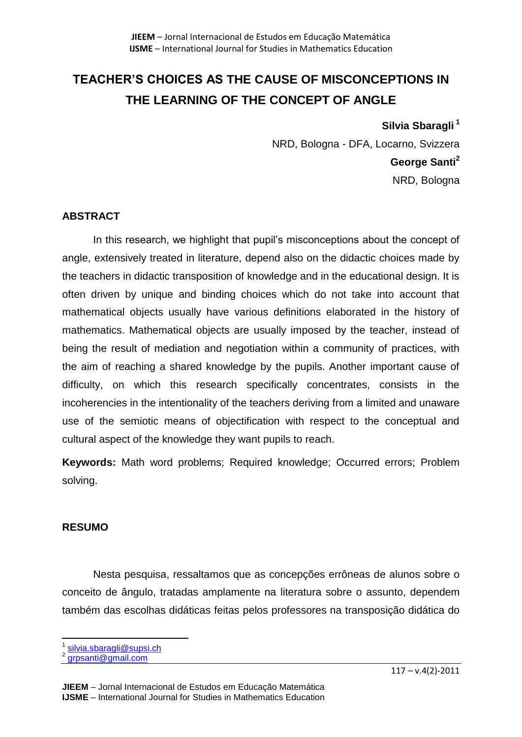# **TEACHER'S CHOICES AS THE CAUSE OF MISCONCEPTIONS IN THE LEARNING OF THE CONCEPT OF ANGLE**

**Silvia Sbaragli <sup>1</sup>** NRD, Bologna - DFA, Locarno, Svizzera **George Santi<sup>2</sup>** NRD, Bologna

# **ABSTRACT**

In this research, we highlight that pupil's misconceptions about the concept of angle, extensively treated in literature, depend also on the didactic choices made by the teachers in didactic transposition of knowledge and in the educational design. It is often driven by unique and binding choices which do not take into account that mathematical objects usually have various definitions elaborated in the history of mathematics. Mathematical objects are usually imposed by the teacher, instead of being the result of mediation and negotiation within a community of practices, with the aim of reaching a shared knowledge by the pupils. Another important cause of difficulty, on which this research specifically concentrates, consists in the incoherencies in the intentionality of the teachers deriving from a limited and unaware use of the semiotic means of objectification with respect to the conceptual and cultural aspect of the knowledge they want pupils to reach.

**Keywords:** Math word problems; Required knowledge; Occurred errors; Problem solving.

#### **RESUMO**

Nesta pesquisa, ressaltamos que as concepções errôneas de alunos sobre o conceito de ângulo, tratadas amplamente na literatura sobre o assunto, dependem também das escolhas didáticas feitas pelos professores na transposição didática do

 $\overline{\phantom{a}}$ 1 [silvia.sbaragli@supsi.ch](mailto:silvia.sbaragli@supsi.ch)

<sup>2</sup> [grpsanti@gmail.com](mailto:grpsanti@gmail.com)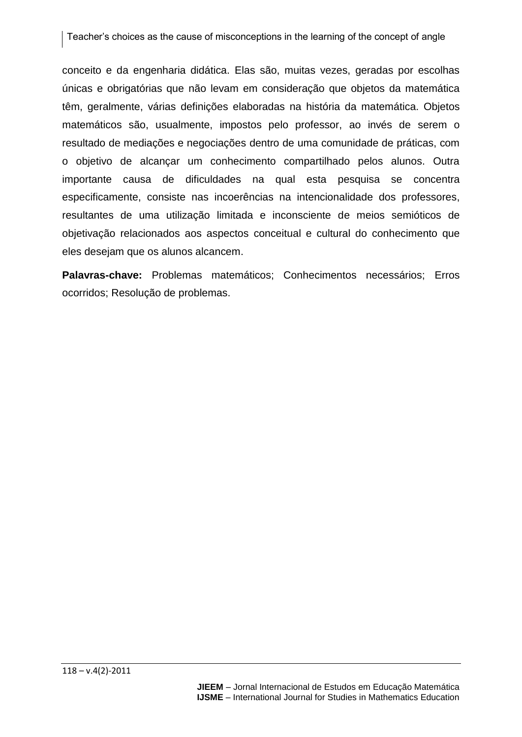Teacher's choices as the cause of misconceptions in the learning of the concept of angle

conceito e da engenharia didática. Elas são, muitas vezes, geradas por escolhas únicas e obrigatórias que não levam em consideração que objetos da matemática têm, geralmente, várias definições elaboradas na história da matemática. Objetos matemáticos são, usualmente, impostos pelo professor, ao invés de serem o resultado de mediações e negociações dentro de uma comunidade de práticas, com o objetivo de alcançar um conhecimento compartilhado pelos alunos. Outra importante causa de dificuldades na qual esta pesquisa se concentra especificamente, consiste nas incoerências na intencionalidade dos professores, resultantes de uma utilização limitada e inconsciente de meios semióticos de objetivação relacionados aos aspectos conceitual e cultural do conhecimento que eles desejam que os alunos alcancem.

**Palavras-chave:** Problemas matemáticos; Conhecimentos necessários; Erros ocorridos; Resolução de problemas.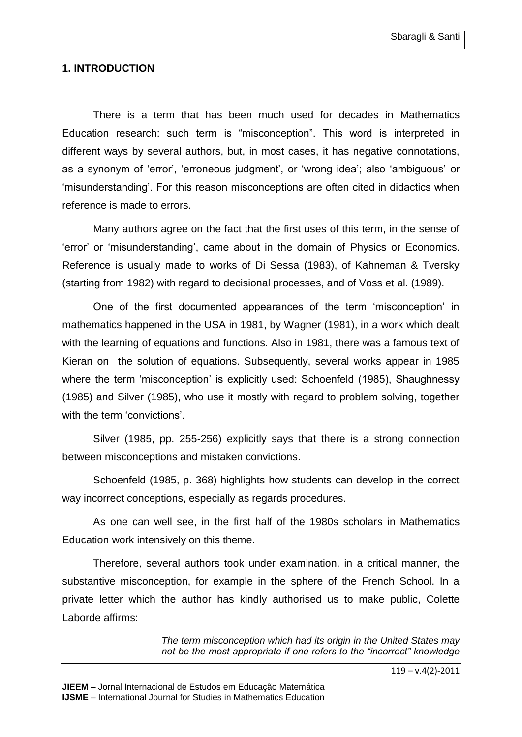# **1. INTRODUCTION**

There is a term that has been much used for decades in Mathematics Education research: such term is "misconception". This word is interpreted in different ways by several authors, but, in most cases, it has negative connotations, as a synonym of 'error', 'erroneous judgment', or 'wrong idea'; also 'ambiguous' or 'misunderstanding'. For this reason misconceptions are often cited in didactics when reference is made to errors.

Many authors agree on the fact that the first uses of this term, in the sense of 'error' or 'misunderstanding', came about in the domain of Physics or Economics. Reference is usually made to works of Di Sessa (1983), of Kahneman & Tversky (starting from 1982) with regard to decisional processes, and of Voss et al. (1989).

One of the first documented appearances of the term 'misconception' in mathematics happened in the USA in 1981, by Wagner (1981), in a work which dealt with the learning of equations and functions. Also in 1981, there was a famous text of Kieran on the solution of equations. Subsequently, several works appear in 1985 where the term 'misconception' is explicitly used: Schoenfeld (1985), Shaughnessy (1985) and Silver (1985), who use it mostly with regard to problem solving, together with the term 'convictions'.

Silver (1985, pp. 255-256) explicitly says that there is a strong connection between misconceptions and mistaken convictions.

Schoenfeld (1985, p. 368) highlights how students can develop in the correct way incorrect conceptions, especially as regards procedures.

As one can well see, in the first half of the 1980s scholars in Mathematics Education work intensively on this theme.

Therefore, several authors took under examination, in a critical manner, the substantive misconception, for example in the sphere of the French School. In a private letter which the author has kindly authorised us to make public, Colette Laborde affirms:

> *The term misconception which had its origin in the United States may not be the most appropriate if one refers to the "incorrect" knowledge*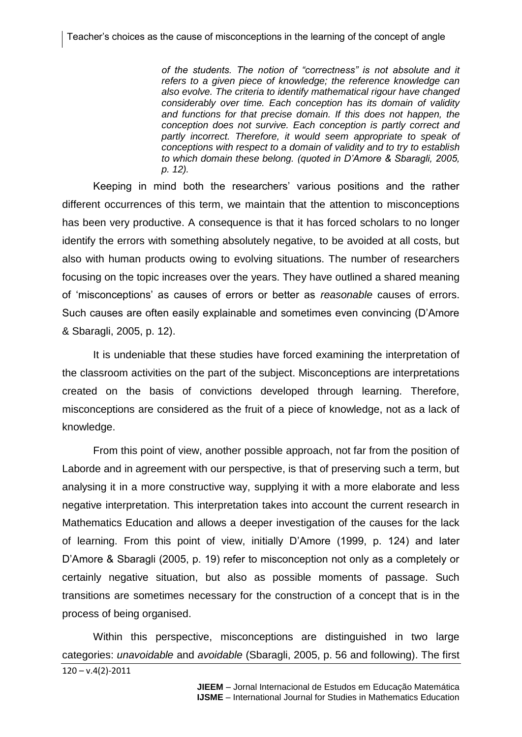*of the students. The notion of "correctness" is not absolute and it refers to a given piece of knowledge; the reference knowledge can also evolve. The criteria to identify mathematical rigour have changed considerably over time. Each conception has its domain of validity and functions for that precise domain. If this does not happen, the conception does not survive. Each conception is partly correct and*  partly incorrect. Therefore, it would seem appropriate to speak of *conceptions with respect to a domain of validity and to try to establish to which domain these belong. (quoted in D'Amore & Sbaragli, 2005, p. 12).*

Keeping in mind both the researchers' various positions and the rather different occurrences of this term, we maintain that the attention to misconceptions has been very productive. A consequence is that it has forced scholars to no longer identify the errors with something absolutely negative, to be avoided at all costs, but also with human products owing to evolving situations. The number of researchers focusing on the topic increases over the years. They have outlined a shared meaning of 'misconceptions' as causes of errors or better as *reasonable* causes of errors. Such causes are often easily explainable and sometimes even convincing (D'Amore & Sbaragli, 2005, p. 12).

It is undeniable that these studies have forced examining the interpretation of the classroom activities on the part of the subject. Misconceptions are interpretations created on the basis of convictions developed through learning. Therefore, misconceptions are considered as the fruit of a piece of knowledge, not as a lack of knowledge.

From this point of view, another possible approach, not far from the position of Laborde and in agreement with our perspective, is that of preserving such a term, but analysing it in a more constructive way, supplying it with a more elaborate and less negative interpretation. This interpretation takes into account the current research in Mathematics Education and allows a deeper investigation of the causes for the lack of learning. From this point of view, initially D'Amore (1999, p. 124) and later D'Amore & Sbaragli (2005, p. 19) refer to misconception not only as a completely or certainly negative situation, but also as possible moments of passage. Such transitions are sometimes necessary for the construction of a concept that is in the process of being organised.

 $120 - v.4(2) - 2011$ Within this perspective, misconceptions are distinguished in two large categories: *unavoidable* and *avoidable* (Sbaragli, 2005, p. 56 and following). The first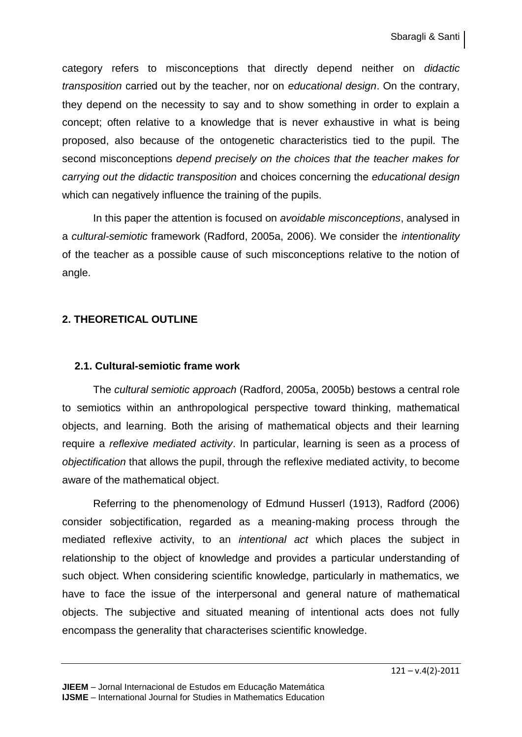category refers to misconceptions that directly depend neither on *didactic transposition* carried out by the teacher, nor on *educational design*. On the contrary, they depend on the necessity to say and to show something in order to explain a concept; often relative to a knowledge that is never exhaustive in what is being proposed, also because of the ontogenetic characteristics tied to the pupil. The second misconceptions *depend precisely on the choices that the teacher makes for carrying out the didactic transposition* and choices concerning the *educational design* which can negatively influence the training of the pupils.

In this paper the attention is focused on *avoidable misconceptions*, analysed in a *cultural-semiotic* framework (Radford, 2005a, 2006). We consider the *intentionality* of the teacher as a possible cause of such misconceptions relative to the notion of angle.

# **2. THEORETICAL OUTLINE**

#### **2.1. Cultural-semiotic frame work**

The *cultural semiotic approach* (Radford, 2005a, 2005b) bestows a central role to semiotics within an anthropological perspective toward thinking, mathematical objects, and learning. Both the arising of mathematical objects and their learning require a *reflexive mediated activity*. In particular, learning is seen as a process of *objectification* that allows the pupil, through the reflexive mediated activity, to become aware of the mathematical object.

Referring to the phenomenology of Edmund Husserl (1913), Radford (2006) consider sobjectification, regarded as a meaning-making process through the mediated reflexive activity, to an *intentional act* which places the subject in relationship to the object of knowledge and provides a particular understanding of such object. When considering scientific knowledge, particularly in mathematics, we have to face the issue of the interpersonal and general nature of mathematical objects. The subjective and situated meaning of intentional acts does not fully encompass the generality that characterises scientific knowledge.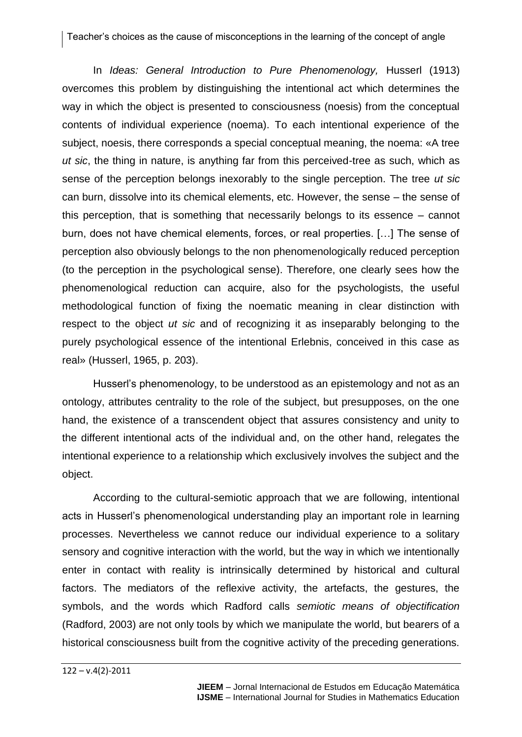#### Teacher's choices as the cause of misconceptions in the learning of the concept of angle

In *Ideas: General Introduction to Pure Phenomenology,* Husserl (1913) overcomes this problem by distinguishing the intentional act which determines the way in which the object is presented to consciousness (noesis) from the conceptual contents of individual experience (noema). To each intentional experience of the subject, noesis, there corresponds a special conceptual meaning, the noema: «A tree *ut sic*, the thing in nature, is anything far from this perceived-tree as such, which as sense of the perception belongs inexorably to the single perception. The tree *ut sic* can burn, dissolve into its chemical elements, etc. However, the sense – the sense of this perception, that is something that necessarily belongs to its essence – cannot burn, does not have chemical elements, forces, or real properties. […] The sense of perception also obviously belongs to the non phenomenologically reduced perception (to the perception in the psychological sense). Therefore, one clearly sees how the phenomenological reduction can acquire, also for the psychologists, the useful methodological function of fixing the noematic meaning in clear distinction with respect to the object *ut sic* and of recognizing it as inseparably belonging to the purely psychological essence of the intentional Erlebnis, conceived in this case as real» (Husserl, 1965, p. 203).

Husserl's phenomenology, to be understood as an epistemology and not as an ontology, attributes centrality to the role of the subject, but presupposes, on the one hand, the existence of a transcendent object that assures consistency and unity to the different intentional acts of the individual and, on the other hand, relegates the intentional experience to a relationship which exclusively involves the subject and the object.

According to the cultural-semiotic approach that we are following, intentional acts in Husserl's phenomenological understanding play an important role in learning processes. Nevertheless we cannot reduce our individual experience to a solitary sensory and cognitive interaction with the world, but the way in which we intentionally enter in contact with reality is intrinsically determined by historical and cultural factors. The mediators of the reflexive activity, the artefacts, the gestures, the symbols, and the words which Radford calls *semiotic means of objectification* (Radford, 2003) are not only tools by which we manipulate the world, but bearers of a historical consciousness built from the cognitive activity of the preceding generations.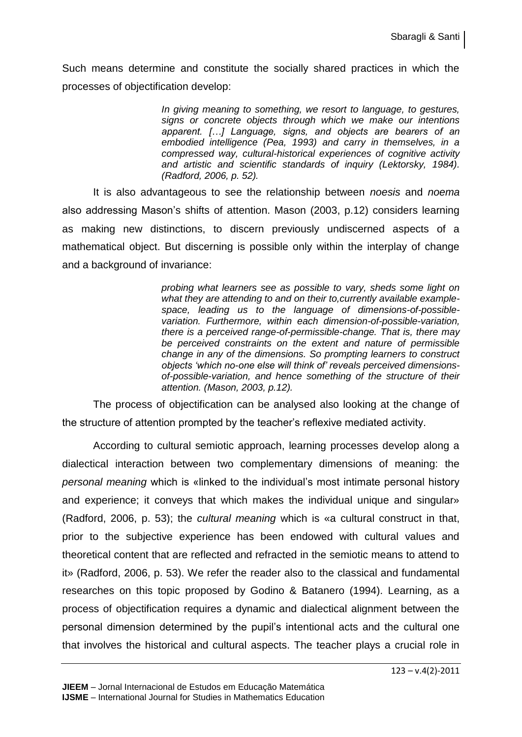Such means determine and constitute the socially shared practices in which the processes of objectification develop:

> *In giving meaning to something, we resort to language, to gestures, signs or concrete objects through which we make our intentions apparent. […] Language, signs, and objects are bearers of an embodied intelligence (Pea, 1993) and carry in themselves, in a compressed way, cultural-historical experiences of cognitive activity and artistic and scientific standards of inquiry (Lektorsky, 1984). (Radford, 2006, p. 52).*

It is also advantageous to see the relationship between *noesis* and *noema* also addressing Mason's shifts of attention. Mason (2003, p.12) considers learning as making new distinctions, to discern previously undiscerned aspects of a mathematical object. But discerning is possible only within the interplay of change and a background of invariance:

> *probing what learners see as possible to vary, sheds some light on what they are attending to and on their to,currently available examplespace, leading us to the language of dimensions-of-possiblevariation. Furthermore, within each dimension-of-possible-variation, there is a perceived range-of-permissible-change. That is, there may be perceived constraints on the extent and nature of permissible change in any of the dimensions. So prompting learners to construct objects 'which no-one else will think of' reveals perceived dimensionsof-possible-variation, and hence something of the structure of their attention. (Mason, 2003, p.12).*

The process of objectification can be analysed also looking at the change of the structure of attention prompted by the teacher's reflexive mediated activity.

According to cultural semiotic approach, learning processes develop along a dialectical interaction between two complementary dimensions of meaning: the *personal meaning* which is «linked to the individual's most intimate personal history and experience; it conveys that which makes the individual unique and singular» (Radford, 2006, p. 53); the *cultural meaning* which is «a cultural construct in that, prior to the subjective experience has been endowed with cultural values and theoretical content that are reflected and refracted in the semiotic means to attend to it» (Radford, 2006, p. 53). We refer the reader also to the classical and fundamental researches on this topic proposed by Godino & Batanero (1994). Learning, as a process of objectification requires a dynamic and dialectical alignment between the personal dimension determined by the pupil's intentional acts and the cultural one that involves the historical and cultural aspects. The teacher plays a crucial role in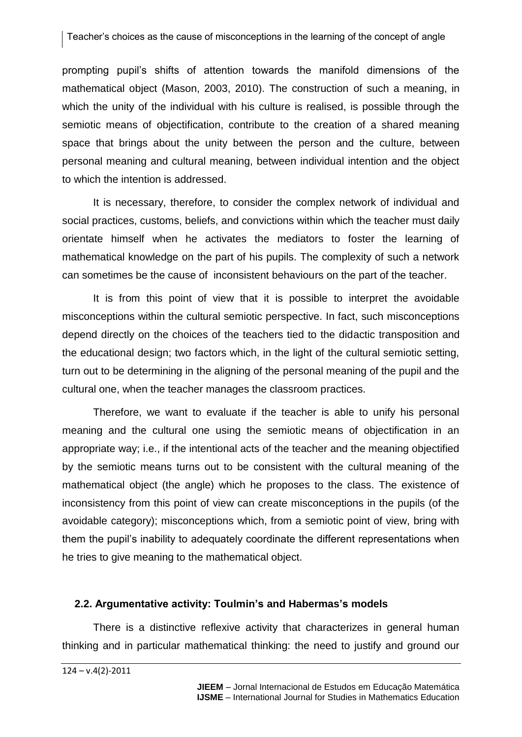prompting pupil's shifts of attention towards the manifold dimensions of the mathematical object (Mason, 2003, 2010). The construction of such a meaning, in which the unity of the individual with his culture is realised, is possible through the semiotic means of objectification, contribute to the creation of a shared meaning space that brings about the unity between the person and the culture, between personal meaning and cultural meaning, between individual intention and the object to which the intention is addressed.

It is necessary, therefore, to consider the complex network of individual and social practices, customs, beliefs, and convictions within which the teacher must daily orientate himself when he activates the mediators to foster the learning of mathematical knowledge on the part of his pupils. The complexity of such a network can sometimes be the cause of inconsistent behaviours on the part of the teacher.

It is from this point of view that it is possible to interpret the avoidable misconceptions within the cultural semiotic perspective. In fact, such misconceptions depend directly on the choices of the teachers tied to the didactic transposition and the educational design; two factors which, in the light of the cultural semiotic setting, turn out to be determining in the aligning of the personal meaning of the pupil and the cultural one, when the teacher manages the classroom practices.

Therefore, we want to evaluate if the teacher is able to unify his personal meaning and the cultural one using the semiotic means of objectification in an appropriate way; i.e., if the intentional acts of the teacher and the meaning objectified by the semiotic means turns out to be consistent with the cultural meaning of the mathematical object (the angle) which he proposes to the class. The existence of inconsistency from this point of view can create misconceptions in the pupils (of the avoidable category); misconceptions which, from a semiotic point of view, bring with them the pupil's inability to adequately coordinate the different representations when he tries to give meaning to the mathematical object.

# **2.2. Argumentative activity: Toulmin's and Habermas's models**

There is a distinctive reflexive activity that characterizes in general human thinking and in particular mathematical thinking: the need to justify and ground our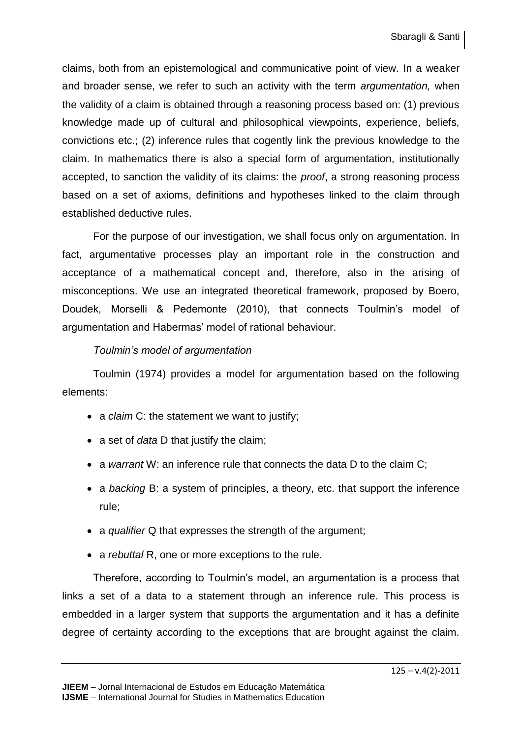claims, both from an epistemological and communicative point of view. In a weaker and broader sense, we refer to such an activity with the term *argumentation,* when the validity of a claim is obtained through a reasoning process based on: (1) previous knowledge made up of cultural and philosophical viewpoints, experience, beliefs, convictions etc.; (2) inference rules that cogently link the previous knowledge to the claim. In mathematics there is also a special form of argumentation, institutionally accepted, to sanction the validity of its claims: the *proof*, a strong reasoning process based on a set of axioms, definitions and hypotheses linked to the claim through established deductive rules.

For the purpose of our investigation, we shall focus only on argumentation. In fact, argumentative processes play an important role in the construction and acceptance of a mathematical concept and, therefore, also in the arising of misconceptions. We use an integrated theoretical framework, proposed by Boero, Doudek, Morselli & Pedemonte (2010), that connects Toulmin's model of argumentation and Habermas' model of rational behaviour.

# *Toulmin's model of argumentation*

Toulmin (1974) provides a model for argumentation based on the following elements:

- a *claim* C: the statement we want to justify;
- a set of *data* D that justify the claim;
- a *warrant* W: an inference rule that connects the data D to the claim C;
- a *backing* B: a system of principles, a theory, etc. that support the inference rule;
- a *qualifier* Q that expresses the strength of the argument;
- a *rebuttal* R, one or more exceptions to the rule.

Therefore, according to Toulmin's model, an argumentation is a process that links a set of a data to a statement through an inference rule. This process is embedded in a larger system that supports the argumentation and it has a definite degree of certainty according to the exceptions that are brought against the claim.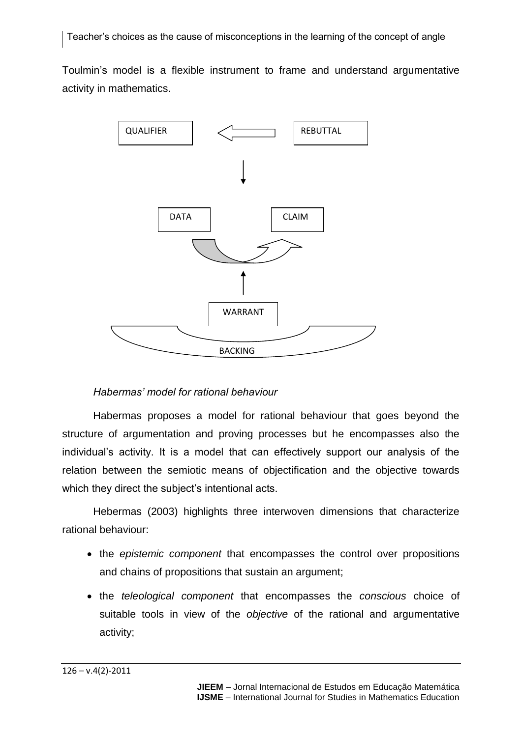Toulmin's model is a flexible instrument to frame and understand argumentative activity in mathematics.



# *Habermas' model for rational behaviour*

Habermas proposes a model for rational behaviour that goes beyond the structure of argumentation and proving processes but he encompasses also the individual's activity. It is a model that can effectively support our analysis of the relation between the semiotic means of objectification and the objective towards which they direct the subject's intentional acts.

Hebermas (2003) highlights three interwoven dimensions that characterize rational behaviour:

- the *epistemic component* that encompasses the control over propositions and chains of propositions that sustain an argument;
- the *teleological component* that encompasses the *conscious* choice of suitable tools in view of the *objective* of the rational and argumentative activity;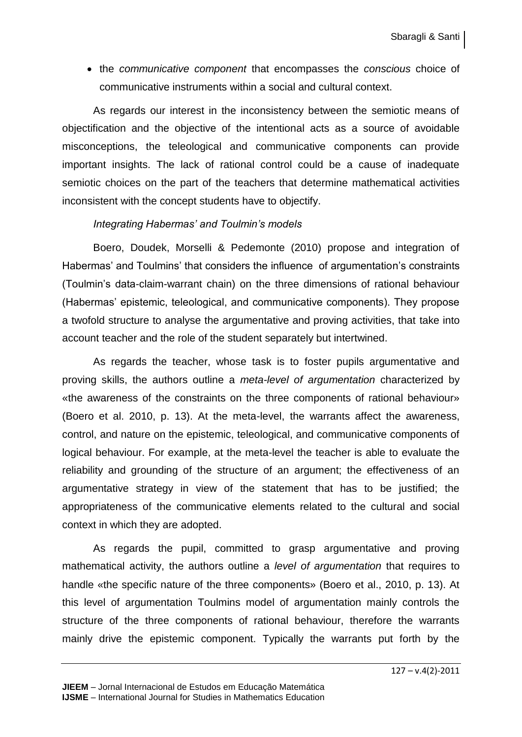the *communicative component* that encompasses the *conscious* choice of communicative instruments within a social and cultural context.

As regards our interest in the inconsistency between the semiotic means of objectification and the objective of the intentional acts as a source of avoidable misconceptions, the teleological and communicative components can provide important insights. The lack of rational control could be a cause of inadequate semiotic choices on the part of the teachers that determine mathematical activities inconsistent with the concept students have to objectify.

## *Integrating Habermas' and Toulmin's models*

Boero, Doudek, Morselli & Pedemonte (2010) propose and integration of Habermas' and Toulmins' that considers the influence of argumentation's constraints (Toulmin's data-claim-warrant chain) on the three dimensions of rational behaviour (Habermas' epistemic, teleological, and communicative components). They propose a twofold structure to analyse the argumentative and proving activities, that take into account teacher and the role of the student separately but intertwined.

As regards the teacher, whose task is to foster pupils argumentative and proving skills, the authors outline a *meta-level of argumentation* characterized by «the awareness of the constraints on the three components of rational behaviour» (Boero et al. 2010, p. 13). At the meta-level, the warrants affect the awareness, control, and nature on the epistemic, teleological, and communicative components of logical behaviour. For example, at the meta-level the teacher is able to evaluate the reliability and grounding of the structure of an argument; the effectiveness of an argumentative strategy in view of the statement that has to be justified; the appropriateness of the communicative elements related to the cultural and social context in which they are adopted.

As regards the pupil, committed to grasp argumentative and proving mathematical activity, the authors outline a *level of argumentation* that requires to handle «the specific nature of the three components» (Boero et al., 2010, p. 13). At this level of argumentation Toulmins model of argumentation mainly controls the structure of the three components of rational behaviour, therefore the warrants mainly drive the epistemic component. Typically the warrants put forth by the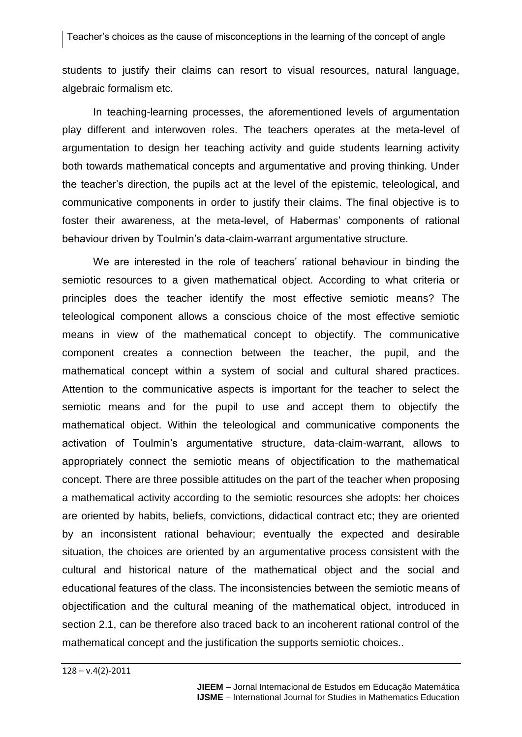students to justify their claims can resort to visual resources, natural language, algebraic formalism etc.

In teaching-learning processes, the aforementioned levels of argumentation play different and interwoven roles. The teachers operates at the meta-level of argumentation to design her teaching activity and guide students learning activity both towards mathematical concepts and argumentative and proving thinking. Under the teacher's direction, the pupils act at the level of the epistemic, teleological, and communicative components in order to justify their claims. The final objective is to foster their awareness, at the meta-level, of Habermas' components of rational behaviour driven by Toulmin's data-claim-warrant argumentative structure.

We are interested in the role of teachers' rational behaviour in binding the semiotic resources to a given mathematical object. According to what criteria or principles does the teacher identify the most effective semiotic means? The teleological component allows a conscious choice of the most effective semiotic means in view of the mathematical concept to objectify. The communicative component creates a connection between the teacher, the pupil, and the mathematical concept within a system of social and cultural shared practices. Attention to the communicative aspects is important for the teacher to select the semiotic means and for the pupil to use and accept them to objectify the mathematical object. Within the teleological and communicative components the activation of Toulmin's argumentative structure, data-claim-warrant, allows to appropriately connect the semiotic means of objectification to the mathematical concept. There are three possible attitudes on the part of the teacher when proposing a mathematical activity according to the semiotic resources she adopts: her choices are oriented by habits, beliefs, convictions, didactical contract etc; they are oriented by an inconsistent rational behaviour; eventually the expected and desirable situation, the choices are oriented by an argumentative process consistent with the cultural and historical nature of the mathematical object and the social and educational features of the class. The inconsistencies between the semiotic means of objectification and the cultural meaning of the mathematical object, introduced in section 2.1, can be therefore also traced back to an incoherent rational control of the mathematical concept and the justification the supports semiotic choices..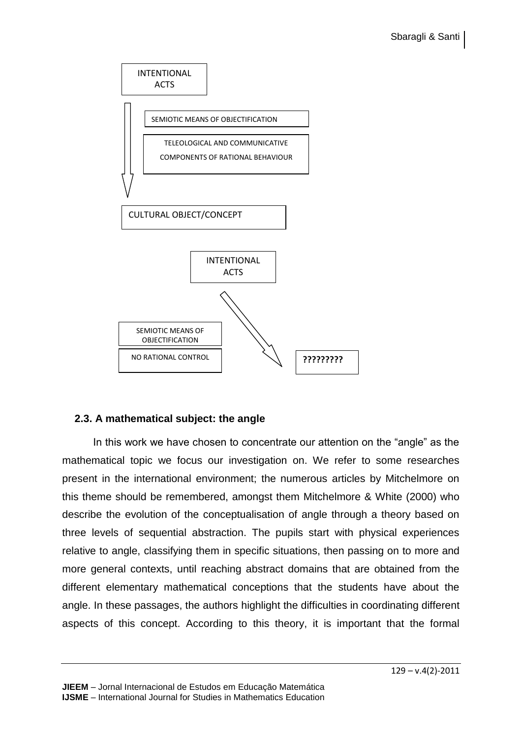

# **2.3. A mathematical subject: the angle**

In this work we have chosen to concentrate our attention on the "angle" as the mathematical topic we focus our investigation on. We refer to some researches present in the international environment; the numerous articles by Mitchelmore on this theme should be remembered, amongst them Mitchelmore & White (2000) who describe the evolution of the conceptualisation of angle through a theory based on three levels of sequential abstraction. The pupils start with physical experiences relative to angle, classifying them in specific situations, then passing on to more and more general contexts, until reaching abstract domains that are obtained from the different elementary mathematical conceptions that the students have about the angle. In these passages, the authors highlight the difficulties in coordinating different aspects of this concept. According to this theory, it is important that the formal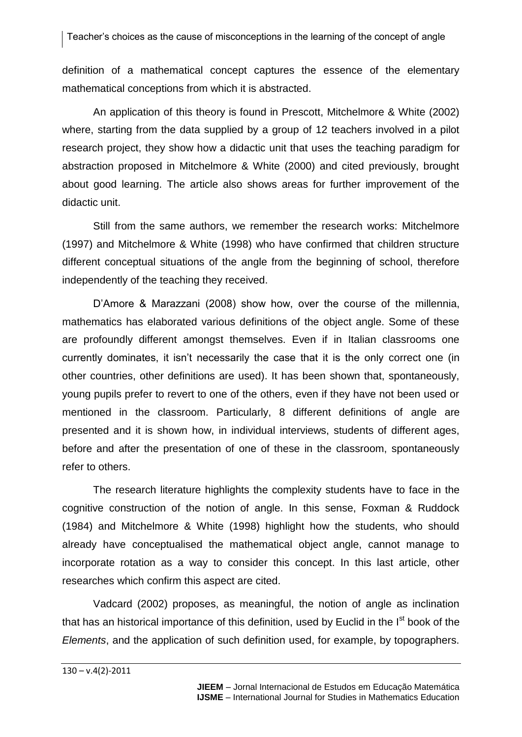definition of a mathematical concept captures the essence of the elementary mathematical conceptions from which it is abstracted.

An application of this theory is found in Prescott, Mitchelmore & White (2002) where, starting from the data supplied by a group of 12 teachers involved in a pilot research project, they show how a didactic unit that uses the teaching paradigm for abstraction proposed in Mitchelmore & White (2000) and cited previously, brought about good learning. The article also shows areas for further improvement of the didactic unit.

Still from the same authors, we remember the research works: Mitchelmore (1997) and Mitchelmore & White (1998) who have confirmed that children structure different conceptual situations of the angle from the beginning of school, therefore independently of the teaching they received.

D'Amore & Marazzani (2008) show how, over the course of the millennia, mathematics has elaborated various definitions of the object angle. Some of these are profoundly different amongst themselves. Even if in Italian classrooms one currently dominates, it isn't necessarily the case that it is the only correct one (in other countries, other definitions are used). It has been shown that, spontaneously, young pupils prefer to revert to one of the others, even if they have not been used or mentioned in the classroom. Particularly, 8 different definitions of angle are presented and it is shown how, in individual interviews, students of different ages, before and after the presentation of one of these in the classroom, spontaneously refer to others.

The research literature highlights the complexity students have to face in the cognitive construction of the notion of angle. In this sense, Foxman & Ruddock (1984) and Mitchelmore & White (1998) highlight how the students, who should already have conceptualised the mathematical object angle, cannot manage to incorporate rotation as a way to consider this concept. In this last article, other researches which confirm this aspect are cited.

Vadcard (2002) proposes, as meaningful, the notion of angle as inclination that has an historical importance of this definition, used by Euclid in the I<sup>st</sup> book of the *Elements*, and the application of such definition used, for example, by topographers.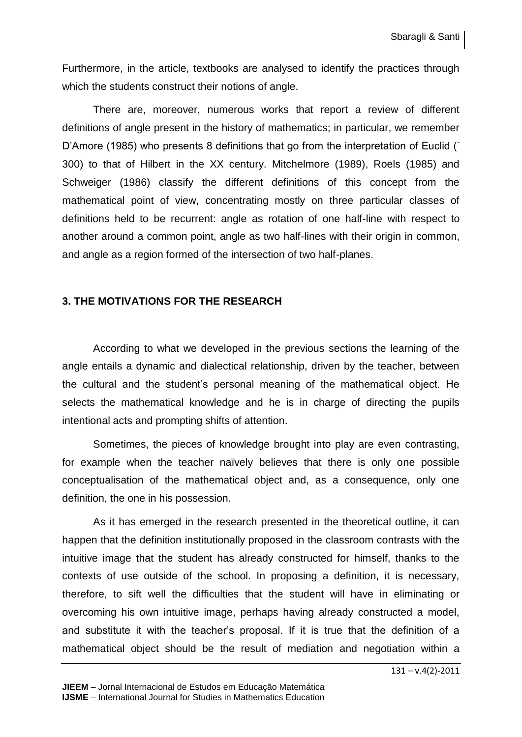Furthermore, in the article, textbooks are analysed to identify the practices through which the students construct their notions of angle.

There are, moreover, numerous works that report a review of different definitions of angle present in the history of mathematics; in particular, we remember D'Amore (1985) who presents 8 definitions that go from the interpretation of Euclid ( 300) to that of Hilbert in the XX century. Mitchelmore (1989), Roels (1985) and Schweiger (1986) classify the different definitions of this concept from the mathematical point of view, concentrating mostly on three particular classes of definitions held to be recurrent: angle as rotation of one half-line with respect to another around a common point, angle as two half-lines with their origin in common, and angle as a region formed of the intersection of two half-planes.

# **3. THE MOTIVATIONS FOR THE RESEARCH**

According to what we developed in the previous sections the learning of the angle entails a dynamic and dialectical relationship, driven by the teacher, between the cultural and the student's personal meaning of the mathematical object. He selects the mathematical knowledge and he is in charge of directing the pupils intentional acts and prompting shifts of attention.

Sometimes, the pieces of knowledge brought into play are even contrasting, for example when the teacher naïvely believes that there is only one possible conceptualisation of the mathematical object and, as a consequence, only one definition, the one in his possession.

As it has emerged in the research presented in the theoretical outline, it can happen that the definition institutionally proposed in the classroom contrasts with the intuitive image that the student has already constructed for himself, thanks to the contexts of use outside of the school. In proposing a definition, it is necessary, therefore, to sift well the difficulties that the student will have in eliminating or overcoming his own intuitive image, perhaps having already constructed a model, and substitute it with the teacher's proposal. If it is true that the definition of a mathematical object should be the result of mediation and negotiation within a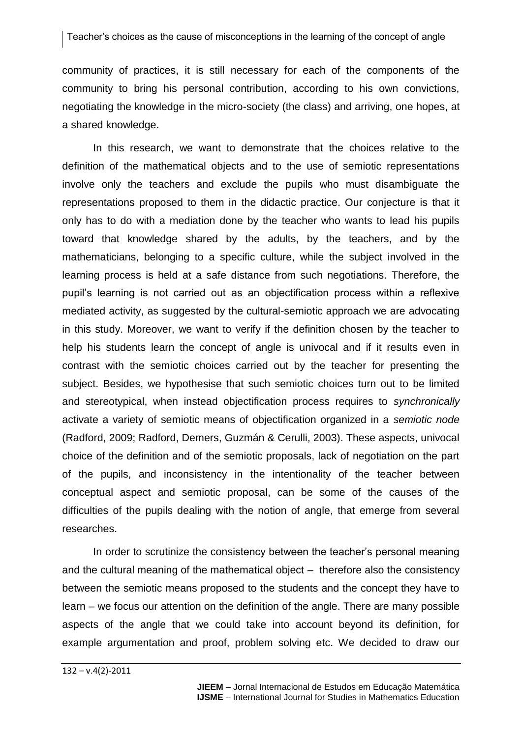#### Teacher's choices as the cause of misconceptions in the learning of the concept of angle

community of practices, it is still necessary for each of the components of the community to bring his personal contribution, according to his own convictions, negotiating the knowledge in the micro-society (the class) and arriving, one hopes, at a shared knowledge.

In this research, we want to demonstrate that the choices relative to the definition of the mathematical objects and to the use of semiotic representations involve only the teachers and exclude the pupils who must disambiguate the representations proposed to them in the didactic practice. Our conjecture is that it only has to do with a mediation done by the teacher who wants to lead his pupils toward that knowledge shared by the adults, by the teachers, and by the mathematicians, belonging to a specific culture, while the subject involved in the learning process is held at a safe distance from such negotiations. Therefore, the pupil's learning is not carried out as an objectification process within a reflexive mediated activity, as suggested by the cultural-semiotic approach we are advocating in this study. Moreover, we want to verify if the definition chosen by the teacher to help his students learn the concept of angle is univocal and if it results even in contrast with the semiotic choices carried out by the teacher for presenting the subject. Besides, we hypothesise that such semiotic choices turn out to be limited and stereotypical, when instead objectification process requires to *synchronically* activate a variety of semiotic means of objectification organized in a *semiotic node*  (Radford, 2009; Radford, Demers, Guzmán & Cerulli, 2003). These aspects, univocal choice of the definition and of the semiotic proposals, lack of negotiation on the part of the pupils, and inconsistency in the intentionality of the teacher between conceptual aspect and semiotic proposal, can be some of the causes of the difficulties of the pupils dealing with the notion of angle, that emerge from several researches.

In order to scrutinize the consistency between the teacher's personal meaning and the cultural meaning of the mathematical object – therefore also the consistency between the semiotic means proposed to the students and the concept they have to learn – we focus our attention on the definition of the angle. There are many possible aspects of the angle that we could take into account beyond its definition, for example argumentation and proof, problem solving etc. We decided to draw our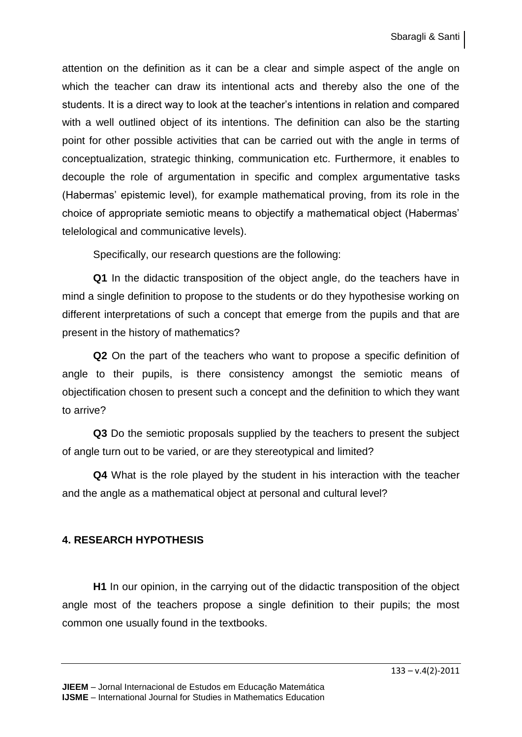attention on the definition as it can be a clear and simple aspect of the angle on which the teacher can draw its intentional acts and thereby also the one of the students. It is a direct way to look at the teacher's intentions in relation and compared with a well outlined object of its intentions. The definition can also be the starting point for other possible activities that can be carried out with the angle in terms of conceptualization, strategic thinking, communication etc. Furthermore, it enables to decouple the role of argumentation in specific and complex argumentative tasks (Habermas' epistemic level), for example mathematical proving, from its role in the choice of appropriate semiotic means to objectify a mathematical object (Habermas' telelological and communicative levels).

Specifically, our research questions are the following:

**Q1** In the didactic transposition of the object angle, do the teachers have in mind a single definition to propose to the students or do they hypothesise working on different interpretations of such a concept that emerge from the pupils and that are present in the history of mathematics?

**Q2** On the part of the teachers who want to propose a specific definition of angle to their pupils, is there consistency amongst the semiotic means of objectification chosen to present such a concept and the definition to which they want to arrive?

**Q3** Do the semiotic proposals supplied by the teachers to present the subject of angle turn out to be varied, or are they stereotypical and limited?

**Q4** What is the role played by the student in his interaction with the teacher and the angle as a mathematical object at personal and cultural level?

# **4. RESEARCH HYPOTHESIS**

**H1** In our opinion, in the carrying out of the didactic transposition of the object angle most of the teachers propose a single definition to their pupils; the most common one usually found in the textbooks.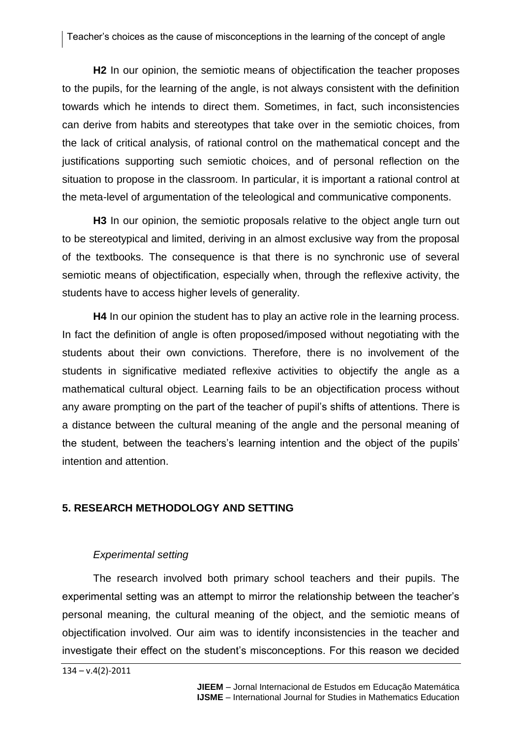**H2** In our opinion, the semiotic means of objectification the teacher proposes to the pupils, for the learning of the angle, is not always consistent with the definition towards which he intends to direct them. Sometimes, in fact, such inconsistencies can derive from habits and stereotypes that take over in the semiotic choices, from the lack of critical analysis, of rational control on the mathematical concept and the justifications supporting such semiotic choices, and of personal reflection on the situation to propose in the classroom. In particular, it is important a rational control at the meta-level of argumentation of the teleological and communicative components.

**H3** In our opinion, the semiotic proposals relative to the object angle turn out to be stereotypical and limited, deriving in an almost exclusive way from the proposal of the textbooks. The consequence is that there is no synchronic use of several semiotic means of objectification, especially when, through the reflexive activity, the students have to access higher levels of generality.

**H4** In our opinion the student has to play an active role in the learning process. In fact the definition of angle is often proposed/imposed without negotiating with the students about their own convictions. Therefore, there is no involvement of the students in significative mediated reflexive activities to objectify the angle as a mathematical cultural object. Learning fails to be an objectification process without any aware prompting on the part of the teacher of pupil's shifts of attentions. There is a distance between the cultural meaning of the angle and the personal meaning of the student, between the teachers's learning intention and the object of the pupils' intention and attention.

# **5. RESEARCH METHODOLOGY AND SETTING**

#### *Experimental setting*

The research involved both primary school teachers and their pupils. The experimental setting was an attempt to mirror the relationship between the teacher's personal meaning, the cultural meaning of the object, and the semiotic means of objectification involved. Our aim was to identify inconsistencies in the teacher and investigate their effect on the student's misconceptions. For this reason we decided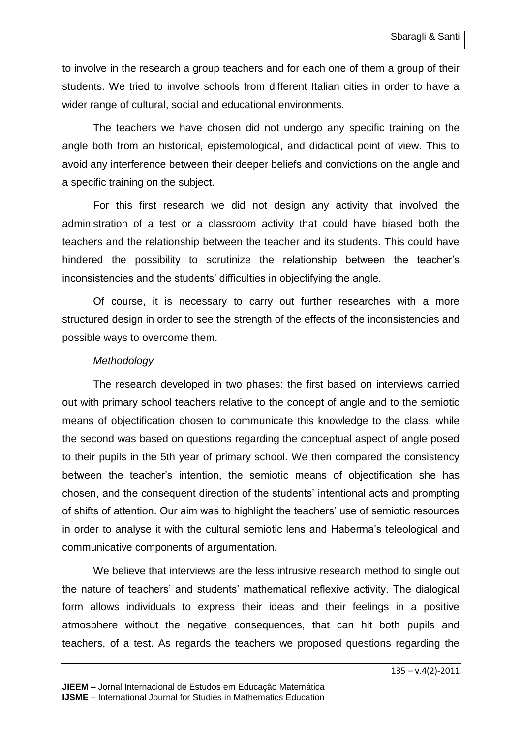to involve in the research a group teachers and for each one of them a group of their students. We tried to involve schools from different Italian cities in order to have a wider range of cultural, social and educational environments.

The teachers we have chosen did not undergo any specific training on the angle both from an historical, epistemological, and didactical point of view. This to avoid any interference between their deeper beliefs and convictions on the angle and a specific training on the subject.

For this first research we did not design any activity that involved the administration of a test or a classroom activity that could have biased both the teachers and the relationship between the teacher and its students. This could have hindered the possibility to scrutinize the relationship between the teacher's inconsistencies and the students' difficulties in objectifying the angle.

Of course, it is necessary to carry out further researches with a more structured design in order to see the strength of the effects of the inconsistencies and possible ways to overcome them.

#### *Methodology*

The research developed in two phases: the first based on interviews carried out with primary school teachers relative to the concept of angle and to the semiotic means of objectification chosen to communicate this knowledge to the class, while the second was based on questions regarding the conceptual aspect of angle posed to their pupils in the 5th year of primary school. We then compared the consistency between the teacher's intention, the semiotic means of objectification she has chosen, and the consequent direction of the students' intentional acts and prompting of shifts of attention. Our aim was to highlight the teachers' use of semiotic resources in order to analyse it with the cultural semiotic lens and Haberma's teleological and communicative components of argumentation.

We believe that interviews are the less intrusive research method to single out the nature of teachers' and students' mathematical reflexive activity. The dialogical form allows individuals to express their ideas and their feelings in a positive atmosphere without the negative consequences, that can hit both pupils and teachers, of a test. As regards the teachers we proposed questions regarding the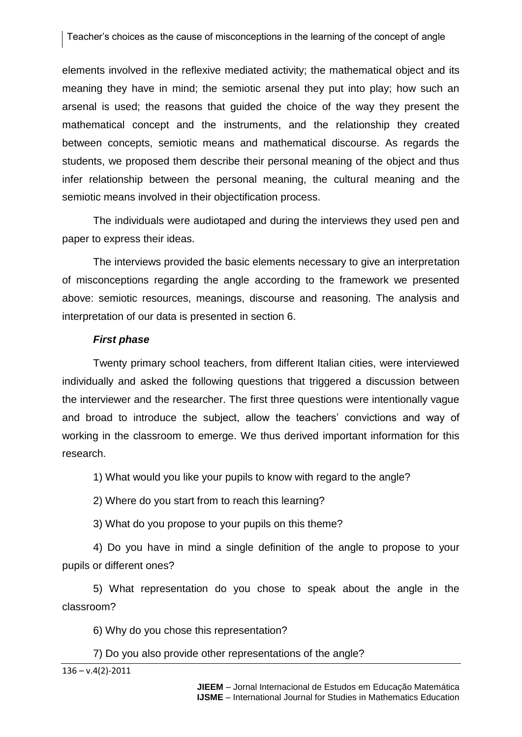Teacher's choices as the cause of misconceptions in the learning of the concept of angle

elements involved in the reflexive mediated activity; the mathematical object and its meaning they have in mind; the semiotic arsenal they put into play; how such an arsenal is used; the reasons that guided the choice of the way they present the mathematical concept and the instruments, and the relationship they created between concepts, semiotic means and mathematical discourse. As regards the students, we proposed them describe their personal meaning of the object and thus infer relationship between the personal meaning, the cultural meaning and the semiotic means involved in their objectification process.

The individuals were audiotaped and during the interviews they used pen and paper to express their ideas.

The interviews provided the basic elements necessary to give an interpretation of misconceptions regarding the angle according to the framework we presented above: semiotic resources, meanings, discourse and reasoning. The analysis and interpretation of our data is presented in section 6.

#### *First phase*

Twenty primary school teachers, from different Italian cities, were interviewed individually and asked the following questions that triggered a discussion between the interviewer and the researcher. The first three questions were intentionally vague and broad to introduce the subject, allow the teachers' convictions and way of working in the classroom to emerge. We thus derived important information for this research.

1) What would you like your pupils to know with regard to the angle?

2) Where do you start from to reach this learning?

3) What do you propose to your pupils on this theme?

4) Do you have in mind a single definition of the angle to propose to your pupils or different ones?

5) What representation do you chose to speak about the angle in the classroom?

6) Why do you chose this representation?

#### 7) Do you also provide other representations of the angle?

 $136 - v.4(2) - 2011$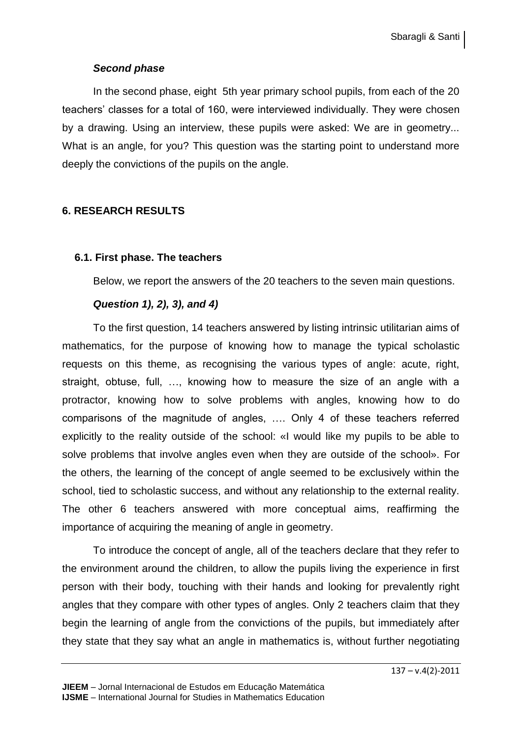# *Second phase*

In the second phase, eight 5th year primary school pupils, from each of the 20 teachers' classes for a total of 160, were interviewed individually. They were chosen by a drawing. Using an interview, these pupils were asked: We are in geometry... What is an angle, for you? This question was the starting point to understand more deeply the convictions of the pupils on the angle.

# **6. RESEARCH RESULTS**

## **6.1. First phase. The teachers**

Below, we report the answers of the 20 teachers to the seven main questions.

# *Question 1), 2), 3), and 4)*

To the first question, 14 teachers answered by listing intrinsic utilitarian aims of mathematics, for the purpose of knowing how to manage the typical scholastic requests on this theme, as recognising the various types of angle: acute, right, straight, obtuse, full, …, knowing how to measure the size of an angle with a protractor, knowing how to solve problems with angles, knowing how to do comparisons of the magnitude of angles, …. Only 4 of these teachers referred explicitly to the reality outside of the school: «I would like my pupils to be able to solve problems that involve angles even when they are outside of the school». For the others, the learning of the concept of angle seemed to be exclusively within the school, tied to scholastic success, and without any relationship to the external reality. The other 6 teachers answered with more conceptual aims, reaffirming the importance of acquiring the meaning of angle in geometry.

To introduce the concept of angle, all of the teachers declare that they refer to the environment around the children, to allow the pupils living the experience in first person with their body, touching with their hands and looking for prevalently right angles that they compare with other types of angles. Only 2 teachers claim that they begin the learning of angle from the convictions of the pupils, but immediately after they state that they say what an angle in mathematics is, without further negotiating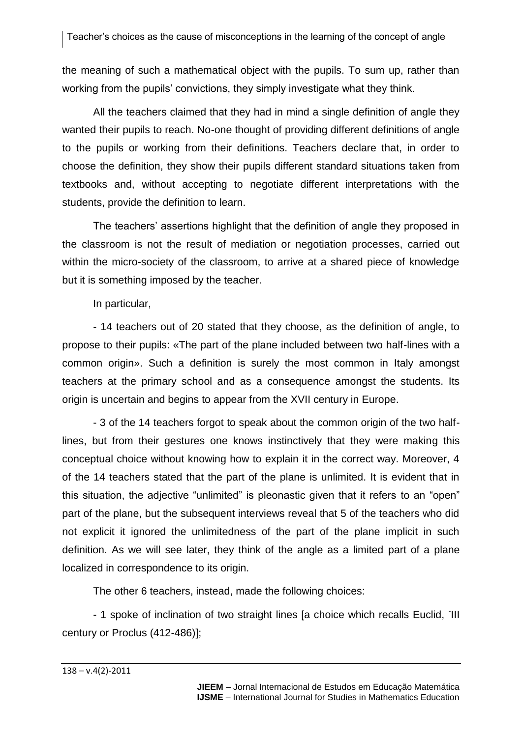the meaning of such a mathematical object with the pupils. To sum up, rather than working from the pupils' convictions, they simply investigate what they think.

All the teachers claimed that they had in mind a single definition of angle they wanted their pupils to reach. No-one thought of providing different definitions of angle to the pupils or working from their definitions. Teachers declare that, in order to choose the definition, they show their pupils different standard situations taken from textbooks and, without accepting to negotiate different interpretations with the students, provide the definition to learn.

The teachers' assertions highlight that the definition of angle they proposed in the classroom is not the result of mediation or negotiation processes, carried out within the micro-society of the classroom, to arrive at a shared piece of knowledge but it is something imposed by the teacher.

In particular,

- 14 teachers out of 20 stated that they choose, as the definition of angle, to propose to their pupils: «The part of the plane included between two half-lines with a common origin». Such a definition is surely the most common in Italy amongst teachers at the primary school and as a consequence amongst the students. Its origin is uncertain and begins to appear from the XVII century in Europe.

- 3 of the 14 teachers forgot to speak about the common origin of the two halflines, but from their gestures one knows instinctively that they were making this conceptual choice without knowing how to explain it in the correct way. Moreover, 4 of the 14 teachers stated that the part of the plane is unlimited. It is evident that in this situation, the adjective "unlimited" is pleonastic given that it refers to an "open" part of the plane, but the subsequent interviews reveal that 5 of the teachers who did not explicit it ignored the unlimitedness of the part of the plane implicit in such definition. As we will see later, they think of the angle as a limited part of a plane localized in correspondence to its origin.

The other 6 teachers, instead, made the following choices:

- 1 spoke of inclination of two straight lines [a choice which recalls Euclid, III century or Proclus (412-486)];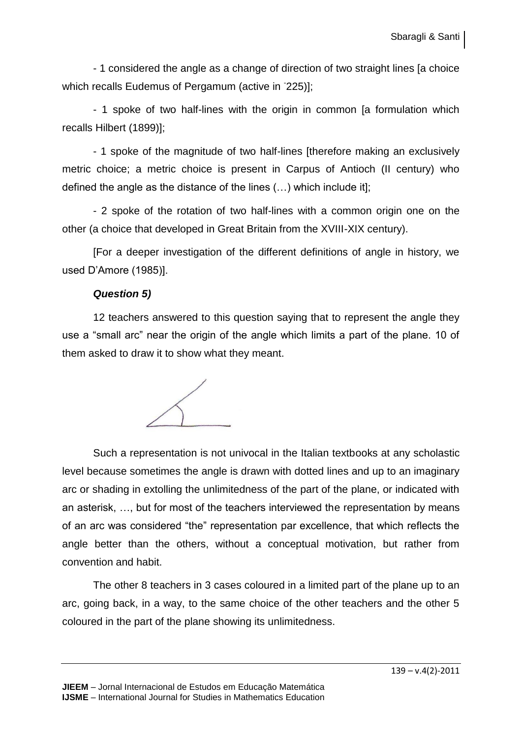- 1 considered the angle as a change of direction of two straight lines [a choice which recalls Eudemus of Pergamum (active in <sup>-</sup>225)];

- 1 spoke of two half-lines with the origin in common [a formulation which recalls Hilbert (1899)];

- 1 spoke of the magnitude of two half-lines [therefore making an exclusively metric choice; a metric choice is present in Carpus of Antioch (II century) who defined the angle as the distance of the lines (…) which include it];

- 2 spoke of the rotation of two half-lines with a common origin one on the other (a choice that developed in Great Britain from the XVIII-XIX century).

[For a deeper investigation of the different definitions of angle in history, we used D'Amore (1985)].

## *Question 5)*

12 teachers answered to this question saying that to represent the angle they use a "small arc" near the origin of the angle which limits a part of the plane. 10 of them asked to draw it to show what they meant.



Such a representation is not univocal in the Italian textbooks at any scholastic level because sometimes the angle is drawn with dotted lines and up to an imaginary arc or shading in extolling the unlimitedness of the part of the plane, or indicated with an asterisk, …, but for most of the teachers interviewed the representation by means of an arc was considered "the" representation par excellence, that which reflects the angle better than the others, without a conceptual motivation, but rather from convention and habit.

The other 8 teachers in 3 cases coloured in a limited part of the plane up to an arc, going back, in a way, to the same choice of the other teachers and the other 5 coloured in the part of the plane showing its unlimitedness.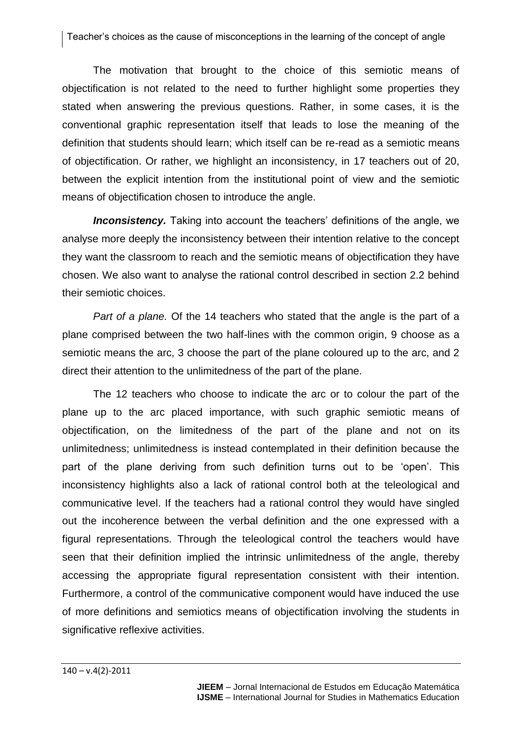The motivation that brought to the choice of this semiotic means of objectification is not related to the need to further highlight some properties they stated when answering the previous questions. Rather, in some cases, it is the conventional graphic representation itself that leads to lose the meaning of the definition that students should learn; which itself can be re-read as a semiotic means of objectification. Or rather, we highlight an inconsistency, in 17 teachers out of 20, between the explicit intention from the institutional point of view and the semiotic means of objectification chosen to introduce the angle.

*Inconsistency.* Taking into account the teachers' definitions of the angle, we analyse more deeply the inconsistency between their intention relative to the concept they want the classroom to reach and the semiotic means of objectification they have chosen. We also want to analyse the rational control described in section 2.2 behind their semiotic choices.

*Part of a plane.* Of the 14 teachers who stated that the angle is the part of a plane comprised between the two half-lines with the common origin, 9 choose as a semiotic means the arc, 3 choose the part of the plane coloured up to the arc, and 2 direct their attention to the unlimitedness of the part of the plane.

The 12 teachers who choose to indicate the arc or to colour the part of the plane up to the arc placed importance, with such graphic semiotic means of objectification, on the limitedness of the part of the plane and not on its unlimitedness; unlimitedness is instead contemplated in their definition because the part of the plane deriving from such definition turns out to be 'open'. This inconsistency highlights also a lack of rational control both at the teleological and communicative level. If the teachers had a rational control they would have singled out the incoherence between the verbal definition and the one expressed with a figural representations. Through the teleological control the teachers would have seen that their definition implied the intrinsic unlimitedness of the angle, thereby accessing the appropriate figural representation consistent with their intention. Furthermore, a control of the communicative component would have induced the use of more definitions and semiotics means of objectification involving the students in significative reflexive activities.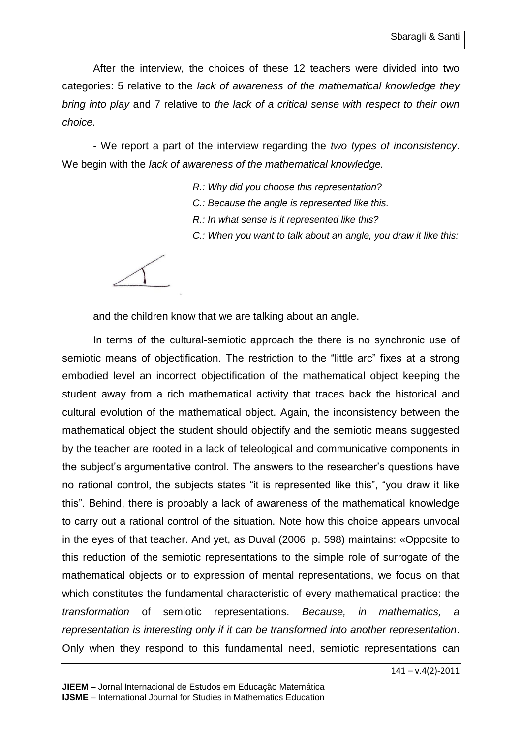After the interview, the choices of these 12 teachers were divided into two categories: 5 relative to the *lack of awareness of the mathematical knowledge they bring into play* and 7 relative to *the lack of a critical sense with respect to their own choice.*

- We report a part of the interview regarding the *two types of inconsistency*. We begin with the *lack of awareness of the mathematical knowledge.*

- *R.: Why did you choose this representation?*
- *C.: Because the angle is represented like this.*
- *R.: In what sense is it represented like this?*
- *C.: When you want to talk about an angle, you draw it like this:*

and the children know that we are talking about an angle.

In terms of the cultural-semiotic approach the there is no synchronic use of semiotic means of objectification. The restriction to the "little arc" fixes at a strong embodied level an incorrect objectification of the mathematical object keeping the student away from a rich mathematical activity that traces back the historical and cultural evolution of the mathematical object. Again, the inconsistency between the mathematical object the student should objectify and the semiotic means suggested by the teacher are rooted in a lack of teleological and communicative components in the subject's argumentative control. The answers to the researcher's questions have no rational control, the subjects states "it is represented like this", "you draw it like this". Behind, there is probably a lack of awareness of the mathematical knowledge to carry out a rational control of the situation. Note how this choice appears unvocal in the eyes of that teacher. And yet, as Duval (2006, p. 598) maintains: «Opposite to this reduction of the semiotic representations to the simple role of surrogate of the mathematical objects or to expression of mental representations, we focus on that which constitutes the fundamental characteristic of every mathematical practice: the *transformation* of semiotic representations. *Because, in mathematics, a representation is interesting only if it can be transformed into another representation*. Only when they respond to this fundamental need, semiotic representations can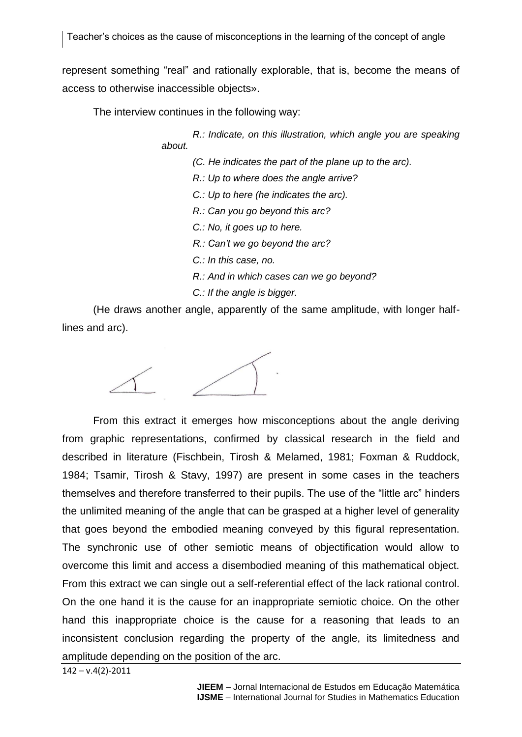represent something "real" and rationally explorable, that is, become the means of access to otherwise inaccessible objects».

The interview continues in the following way:

*R.: Indicate, on this illustration, which angle you are speaking about.* 

*(C. He indicates the part of the plane up to the arc).*

*R.: Up to where does the angle arrive?*

*C.: Up to here (he indicates the arc).*

*R.: Can you go beyond this arc?*

*C.: No, it goes up to here.*

*R.: Can't we go beyond the arc?*

*C.: In this case, no.*

*R.: And in which cases can we go beyond?*

*C.: If the angle is bigger.*

(He draws another angle, apparently of the same amplitude, with longer halflines and arc).

From this extract it emerges how misconceptions about the angle deriving from graphic representations, confirmed by classical research in the field and described in literature (Fischbein, Tirosh & Melamed, 1981; Foxman & Ruddock, 1984; Tsamir, Tirosh & Stavy, 1997) are present in some cases in the teachers themselves and therefore transferred to their pupils. The use of the "little arc" hinders the unlimited meaning of the angle that can be grasped at a higher level of generality that goes beyond the embodied meaning conveyed by this figural representation. The synchronic use of other semiotic means of objectification would allow to overcome this limit and access a disembodied meaning of this mathematical object. From this extract we can single out a self-referential effect of the lack rational control. On the one hand it is the cause for an inappropriate semiotic choice. On the other hand this inappropriate choice is the cause for a reasoning that leads to an inconsistent conclusion regarding the property of the angle, its limitedness and amplitude depending on the position of the arc.

142 – v.4(2)-2011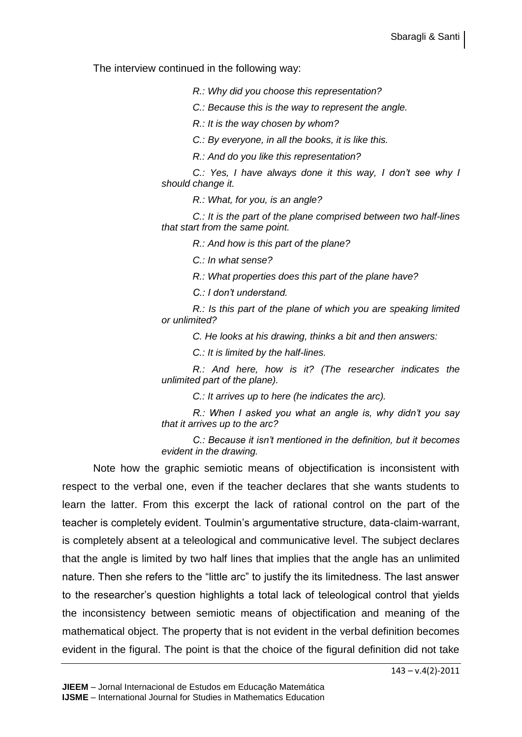The interview continued in the following way:

*R.: Why did you choose this representation?*

*C.: Because this is the way to represent the angle.*

*R.: It is the way chosen by whom?*

*C.: By everyone, in all the books, it is like this.*

*R.: And do you like this representation?*

*C.: Yes, I have always done it this way, I don't see why I should change it.*

*R.: What, for you, is an angle?*

*C.: It is the part of the plane comprised between two half-lines that start from the same point.*

*R.: And how is this part of the plane?*

*C.: In what sense?*

*R.: What properties does this part of the plane have?*

*C.: I don't understand.*

*R.: Is this part of the plane of which you are speaking limited or unlimited?*

*C. He looks at his drawing, thinks a bit and then answers:*

*C.: It is limited by the half-lines.*

*R.: And here, how is it? (The researcher indicates the unlimited part of the plane).*

*C.: It arrives up to here (he indicates the arc).*

*R.: When I asked you what an angle is, why didn't you say that it arrives up to the arc?*

*C.: Because it isn't mentioned in the definition, but it becomes evident in the drawing.*

Note how the graphic semiotic means of objectification is inconsistent with respect to the verbal one, even if the teacher declares that she wants students to learn the latter. From this excerpt the lack of rational control on the part of the teacher is completely evident. Toulmin's argumentative structure, data-claim-warrant, is completely absent at a teleological and communicative level. The subject declares that the angle is limited by two half lines that implies that the angle has an unlimited nature. Then she refers to the "little arc" to justify the its limitedness. The last answer to the researcher's question highlights a total lack of teleological control that yields the inconsistency between semiotic means of objectification and meaning of the mathematical object. The property that is not evident in the verbal definition becomes evident in the figural. The point is that the choice of the figural definition did not take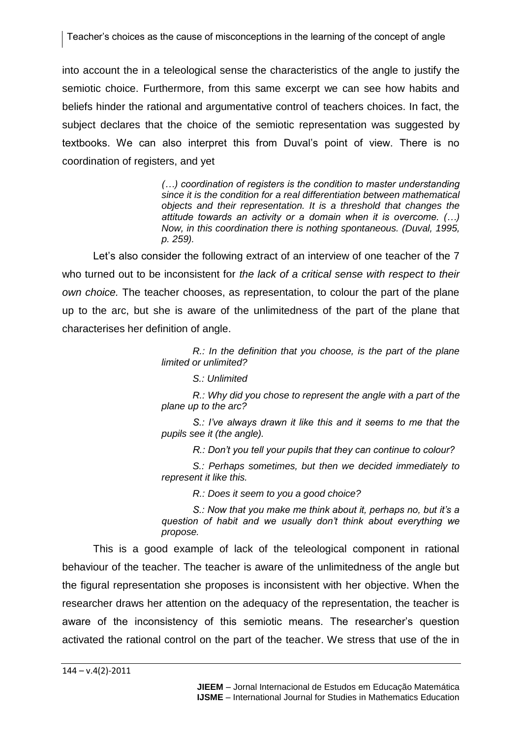Teacher's choices as the cause of misconceptions in the learning of the concept of angle

into account the in a teleological sense the characteristics of the angle to justify the semiotic choice. Furthermore, from this same excerpt we can see how habits and beliefs hinder the rational and argumentative control of teachers choices. In fact, the subject declares that the choice of the semiotic representation was suggested by textbooks. We can also interpret this from Duval's point of view. There is no coordination of registers, and yet

> *(…) coordination of registers is the condition to master understanding since it is the condition for a real differentiation between mathematical objects and their representation. It is a threshold that changes the attitude towards an activity or a domain when it is overcome. (…) Now, in this coordination there is nothing spontaneous. (Duval, 1995, p. 259).*

Let's also consider the following extract of an interview of one teacher of the 7 who turned out to be inconsistent for *the lack of a critical sense with respect to their own choice.* The teacher chooses, as representation, to colour the part of the plane up to the arc, but she is aware of the unlimitedness of the part of the plane that characterises her definition of angle.

> *R.: In the definition that you choose, is the part of the plane limited or unlimited?*

#### *S.: Unlimited*

*R.: Why did you chose to represent the angle with a part of the plane up to the arc?*

*S.: I've always drawn it like this and it seems to me that the pupils see it (the angle).*

*R.: Don't you tell your pupils that they can continue to colour?*

*S.: Perhaps sometimes, but then we decided immediately to represent it like this.*

*R.: Does it seem to you a good choice?*

*S.: Now that you make me think about it, perhaps no, but it's a question of habit and we usually don't think about everything we propose.* 

This is a good example of lack of the teleological component in rational behaviour of the teacher. The teacher is aware of the unlimitedness of the angle but the figural representation she proposes is inconsistent with her objective. When the researcher draws her attention on the adequacy of the representation, the teacher is aware of the inconsistency of this semiotic means. The researcher's question activated the rational control on the part of the teacher. We stress that use of the in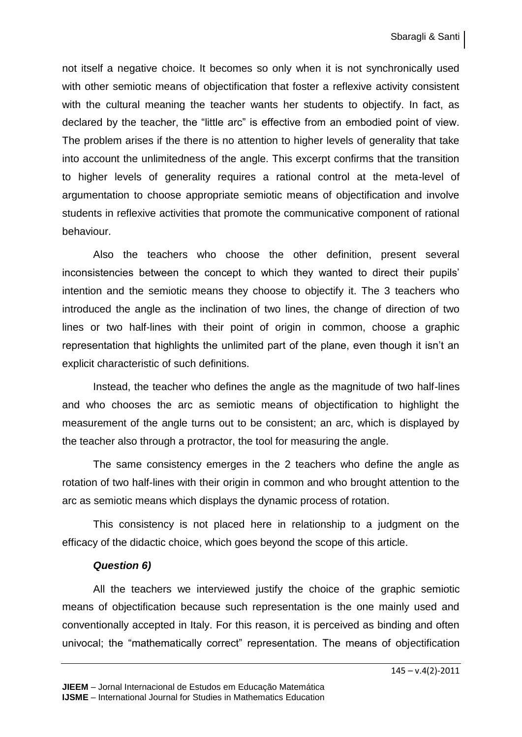not itself a negative choice. It becomes so only when it is not synchronically used with other semiotic means of objectification that foster a reflexive activity consistent with the cultural meaning the teacher wants her students to objectify. In fact, as declared by the teacher, the "little arc" is effective from an embodied point of view. The problem arises if the there is no attention to higher levels of generality that take into account the unlimitedness of the angle. This excerpt confirms that the transition to higher levels of generality requires a rational control at the meta-level of argumentation to choose appropriate semiotic means of objectification and involve students in reflexive activities that promote the communicative component of rational behaviour.

Also the teachers who choose the other definition, present several inconsistencies between the concept to which they wanted to direct their pupils' intention and the semiotic means they choose to objectify it. The 3 teachers who introduced the angle as the inclination of two lines, the change of direction of two lines or two half-lines with their point of origin in common, choose a graphic representation that highlights the unlimited part of the plane, even though it isn't an explicit characteristic of such definitions.

Instead, the teacher who defines the angle as the magnitude of two half-lines and who chooses the arc as semiotic means of objectification to highlight the measurement of the angle turns out to be consistent; an arc, which is displayed by the teacher also through a protractor, the tool for measuring the angle.

The same consistency emerges in the 2 teachers who define the angle as rotation of two half-lines with their origin in common and who brought attention to the arc as semiotic means which displays the dynamic process of rotation.

This consistency is not placed here in relationship to a judgment on the efficacy of the didactic choice, which goes beyond the scope of this article.

# *Question 6)*

All the teachers we interviewed justify the choice of the graphic semiotic means of objectification because such representation is the one mainly used and conventionally accepted in Italy. For this reason, it is perceived as binding and often univocal; the "mathematically correct" representation. The means of objectification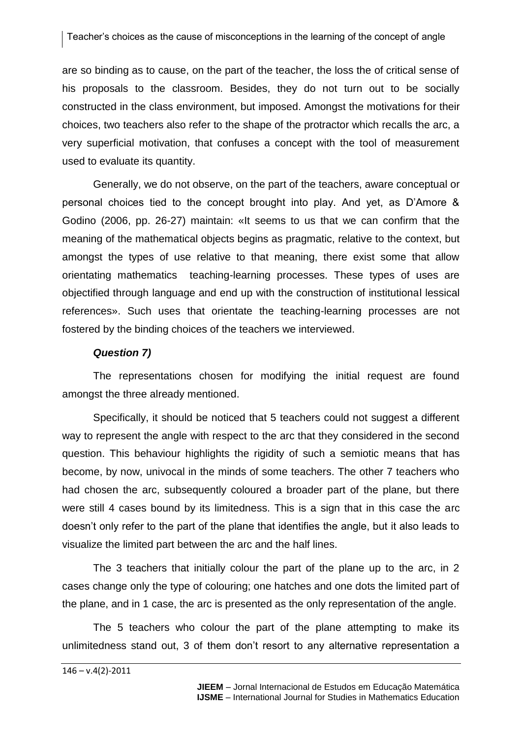are so binding as to cause, on the part of the teacher, the loss the of critical sense of his proposals to the classroom. Besides, they do not turn out to be socially constructed in the class environment, but imposed. Amongst the motivations for their choices, two teachers also refer to the shape of the protractor which recalls the arc, a very superficial motivation, that confuses a concept with the tool of measurement used to evaluate its quantity.

Generally, we do not observe, on the part of the teachers, aware conceptual or personal choices tied to the concept brought into play. And yet, as D'Amore & Godino (2006, pp. 26-27) maintain: «It seems to us that we can confirm that the meaning of the mathematical objects begins as pragmatic, relative to the context, but amongst the types of use relative to that meaning, there exist some that allow orientating mathematics teaching-learning processes. These types of uses are objectified through language and end up with the construction of institutional lessical references». Such uses that orientate the teaching-learning processes are not fostered by the binding choices of the teachers we interviewed.

#### *Question 7)*

The representations chosen for modifying the initial request are found amongst the three already mentioned.

Specifically, it should be noticed that 5 teachers could not suggest a different way to represent the angle with respect to the arc that they considered in the second question. This behaviour highlights the rigidity of such a semiotic means that has become, by now, univocal in the minds of some teachers. The other 7 teachers who had chosen the arc, subsequently coloured a broader part of the plane, but there were still 4 cases bound by its limitedness. This is a sign that in this case the arc doesn't only refer to the part of the plane that identifies the angle, but it also leads to visualize the limited part between the arc and the half lines.

The 3 teachers that initially colour the part of the plane up to the arc, in 2 cases change only the type of colouring; one hatches and one dots the limited part of the plane, and in 1 case, the arc is presented as the only representation of the angle.

The 5 teachers who colour the part of the plane attempting to make its unlimitedness stand out, 3 of them don't resort to any alternative representation a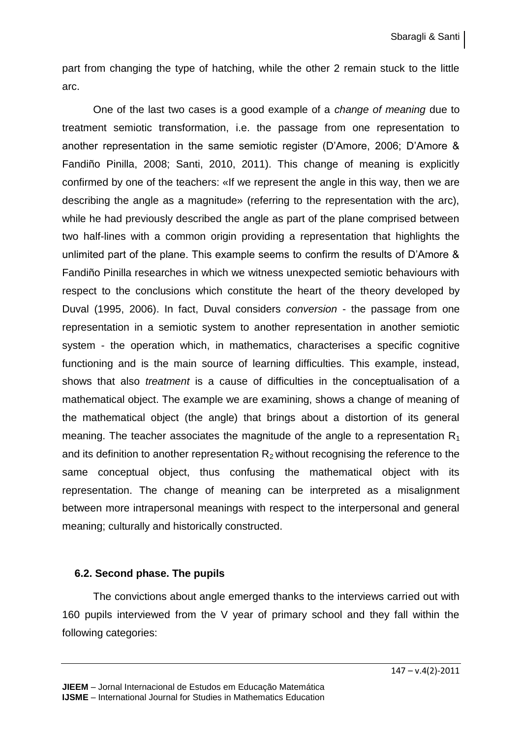part from changing the type of hatching, while the other 2 remain stuck to the little arc.

One of the last two cases is a good example of a *change of meaning* due to treatment semiotic transformation, i.e. the passage from one representation to another representation in the same semiotic register (D'Amore, 2006; D'Amore & Fandiño Pinilla, 2008; Santi, 2010, 2011). This change of meaning is explicitly confirmed by one of the teachers: «If we represent the angle in this way, then we are describing the angle as a magnitude» (referring to the representation with the arc), while he had previously described the angle as part of the plane comprised between two half-lines with a common origin providing a representation that highlights the unlimited part of the plane. This example seems to confirm the results of D'Amore & Fandiño Pinilla researches in which we witness unexpected semiotic behaviours with respect to the conclusions which constitute the heart of the theory developed by Duval (1995, 2006). In fact, Duval considers *conversion* - the passage from one representation in a semiotic system to another representation in another semiotic system - the operation which, in mathematics, characterises a specific cognitive functioning and is the main source of learning difficulties. This example, instead, shows that also *treatment* is a cause of difficulties in the conceptualisation of a mathematical object. The example we are examining, shows a change of meaning of the mathematical object (the angle) that brings about a distortion of its general meaning. The teacher associates the magnitude of the angle to a representation  $R_1$ and its definition to another representation  $R_2$  without recognising the reference to the same conceptual object, thus confusing the mathematical object with its representation. The change of meaning can be interpreted as a misalignment between more intrapersonal meanings with respect to the interpersonal and general meaning; culturally and historically constructed.

#### **6.2. Second phase. The pupils**

The convictions about angle emerged thanks to the interviews carried out with 160 pupils interviewed from the V year of primary school and they fall within the following categories: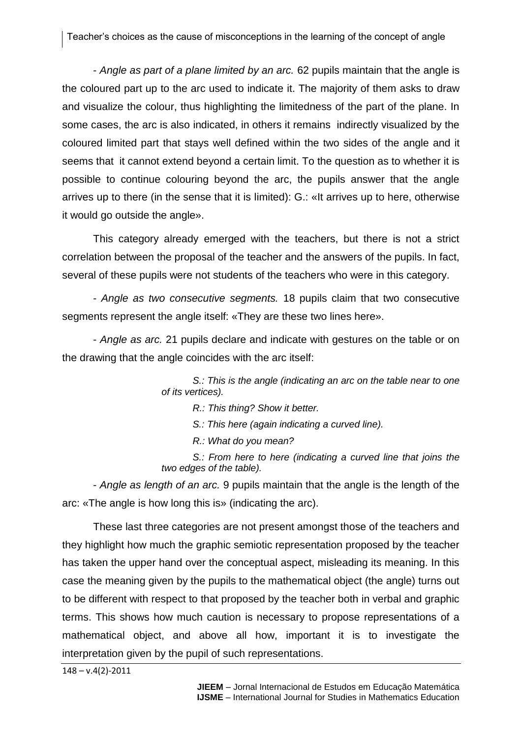- *Angle as part of a plane limited by an arc.* 62 pupils maintain that the angle is the coloured part up to the arc used to indicate it. The majority of them asks to draw and visualize the colour, thus highlighting the limitedness of the part of the plane. In some cases, the arc is also indicated, in others it remains indirectly visualized by the coloured limited part that stays well defined within the two sides of the angle and it seems that it cannot extend beyond a certain limit. To the question as to whether it is possible to continue colouring beyond the arc, the pupils answer that the angle arrives up to there (in the sense that it is limited): G.: «It arrives up to here, otherwise it would go outside the angle».

This category already emerged with the teachers, but there is not a strict correlation between the proposal of the teacher and the answers of the pupils. In fact, several of these pupils were not students of the teachers who were in this category.

- *Angle as two consecutive segments.* 18 pupils claim that two consecutive segments represent the angle itself: «They are these two lines here».

- *Angle as arc.* 21 pupils declare and indicate with gestures on the table or on the drawing that the angle coincides with the arc itself:

> *S.: This is the angle (indicating an arc on the table near to one of its vertices).*

> > *R.: This thing? Show it better.*

*S.: This here (again indicating a curved line).*

*R.: What do you mean?*

*S.: From here to here (indicating a curved line that joins the two edges of the table).*

- *Angle as length of an arc.* 9 pupils maintain that the angle is the length of the arc: «The angle is how long this is» (indicating the arc).

These last three categories are not present amongst those of the teachers and they highlight how much the graphic semiotic representation proposed by the teacher has taken the upper hand over the conceptual aspect, misleading its meaning. In this case the meaning given by the pupils to the mathematical object (the angle) turns out to be different with respect to that proposed by the teacher both in verbal and graphic terms. This shows how much caution is necessary to propose representations of a mathematical object, and above all how, important it is to investigate the interpretation given by the pupil of such representations.

 $148 - v.4(2) - 2011$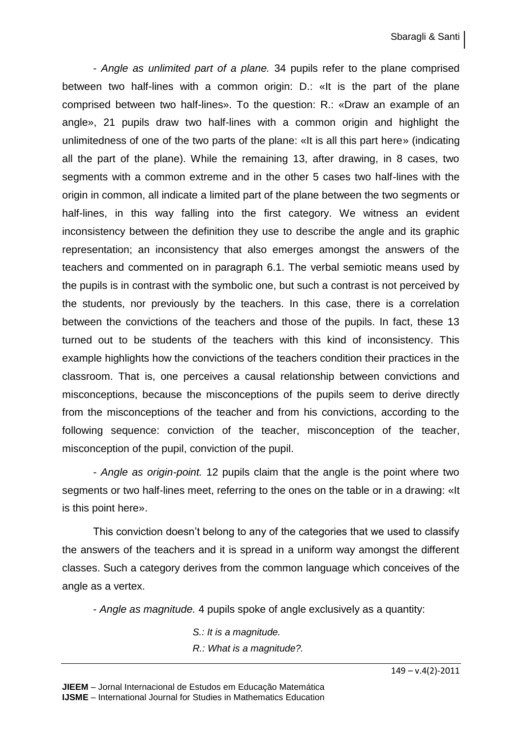- *Angle as unlimited part of a plane.* 34 pupils refer to the plane comprised between two half-lines with a common origin: D.: «It is the part of the plane comprised between two half-lines». To the question: R.: «Draw an example of an angle», 21 pupils draw two half-lines with a common origin and highlight the unlimitedness of one of the two parts of the plane: «It is all this part here» (indicating all the part of the plane). While the remaining 13, after drawing, in 8 cases, two segments with a common extreme and in the other 5 cases two half-lines with the origin in common, all indicate a limited part of the plane between the two segments or half-lines, in this way falling into the first category. We witness an evident inconsistency between the definition they use to describe the angle and its graphic representation; an inconsistency that also emerges amongst the answers of the teachers and commented on in paragraph 6.1. The verbal semiotic means used by the pupils is in contrast with the symbolic one, but such a contrast is not perceived by the students, nor previously by the teachers. In this case, there is a correlation between the convictions of the teachers and those of the pupils. In fact, these 13 turned out to be students of the teachers with this kind of inconsistency. This example highlights how the convictions of the teachers condition their practices in the classroom. That is, one perceives a causal relationship between convictions and misconceptions, because the misconceptions of the pupils seem to derive directly from the misconceptions of the teacher and from his convictions, according to the following sequence: conviction of the teacher, misconception of the teacher, misconception of the pupil, conviction of the pupil.

- *Angle as origin-point.* 12 pupils claim that the angle is the point where two segments or two half-lines meet, referring to the ones on the table or in a drawing: «It is this point here».

This conviction doesn't belong to any of the categories that we used to classify the answers of the teachers and it is spread in a uniform way amongst the different classes. Such a category derives from the common language which conceives of the angle as a vertex.

- *Angle as magnitude.* 4 pupils spoke of angle exclusively as a quantity:

*S.: It is a magnitude. R.: What is a magnitude?.*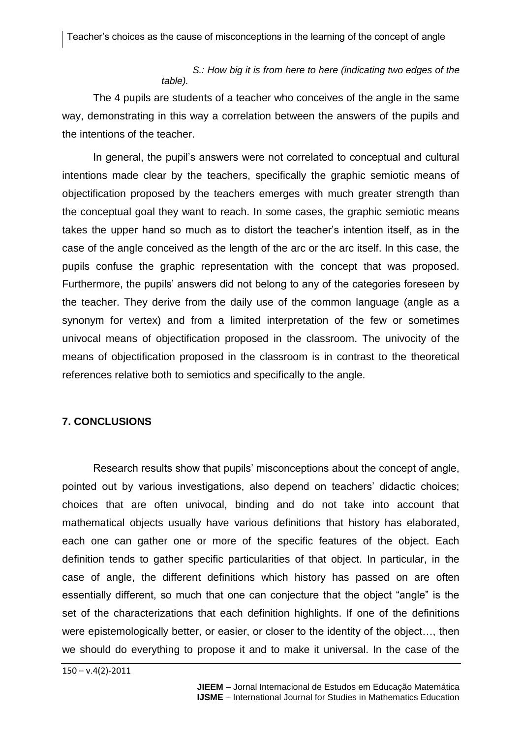#### *S.: How big it is from here to here (indicating two edges of the table).*

The 4 pupils are students of a teacher who conceives of the angle in the same way, demonstrating in this way a correlation between the answers of the pupils and the intentions of the teacher.

In general, the pupil's answers were not correlated to conceptual and cultural intentions made clear by the teachers, specifically the graphic semiotic means of objectification proposed by the teachers emerges with much greater strength than the conceptual goal they want to reach. In some cases, the graphic semiotic means takes the upper hand so much as to distort the teacher's intention itself, as in the case of the angle conceived as the length of the arc or the arc itself. In this case, the pupils confuse the graphic representation with the concept that was proposed. Furthermore, the pupils' answers did not belong to any of the categories foreseen by the teacher. They derive from the daily use of the common language (angle as a synonym for vertex) and from a limited interpretation of the few or sometimes univocal means of objectification proposed in the classroom. The univocity of the means of objectification proposed in the classroom is in contrast to the theoretical references relative both to semiotics and specifically to the angle.

# **7. CONCLUSIONS**

Research results show that pupils' misconceptions about the concept of angle, pointed out by various investigations, also depend on teachers' didactic choices; choices that are often univocal, binding and do not take into account that mathematical objects usually have various definitions that history has elaborated, each one can gather one or more of the specific features of the object. Each definition tends to gather specific particularities of that object. In particular, in the case of angle, the different definitions which history has passed on are often essentially different, so much that one can conjecture that the object "angle" is the set of the characterizations that each definition highlights. If one of the definitions were epistemologically better, or easier, or closer to the identity of the object…, then we should do everything to propose it and to make it universal. In the case of the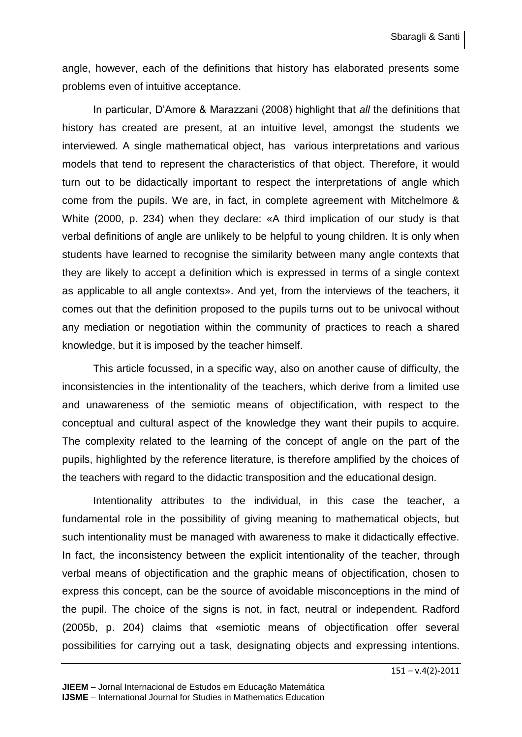angle, however, each of the definitions that history has elaborated presents some problems even of intuitive acceptance.

In particular, D'Amore & Marazzani (2008) highlight that *all* the definitions that history has created are present, at an intuitive level, amongst the students we interviewed. A single mathematical object, has various interpretations and various models that tend to represent the characteristics of that object. Therefore, it would turn out to be didactically important to respect the interpretations of angle which come from the pupils. We are, in fact, in complete agreement with Mitchelmore & White (2000, p. 234) when they declare: «A third implication of our study is that verbal definitions of angle are unlikely to be helpful to young children. It is only when students have learned to recognise the similarity between many angle contexts that they are likely to accept a definition which is expressed in terms of a single context as applicable to all angle contexts». And yet, from the interviews of the teachers, it comes out that the definition proposed to the pupils turns out to be univocal without any mediation or negotiation within the community of practices to reach a shared knowledge, but it is imposed by the teacher himself.

This article focussed, in a specific way, also on another cause of difficulty, the inconsistencies in the intentionality of the teachers, which derive from a limited use and unawareness of the semiotic means of objectification, with respect to the conceptual and cultural aspect of the knowledge they want their pupils to acquire. The complexity related to the learning of the concept of angle on the part of the pupils, highlighted by the reference literature, is therefore amplified by the choices of the teachers with regard to the didactic transposition and the educational design.

Intentionality attributes to the individual, in this case the teacher, a fundamental role in the possibility of giving meaning to mathematical objects, but such intentionality must be managed with awareness to make it didactically effective. In fact, the inconsistency between the explicit intentionality of the teacher, through verbal means of objectification and the graphic means of objectification, chosen to express this concept, can be the source of avoidable misconceptions in the mind of the pupil. The choice of the signs is not, in fact, neutral or independent. Radford (2005b, p. 204) claims that «semiotic means of objectification offer several possibilities for carrying out a task, designating objects and expressing intentions.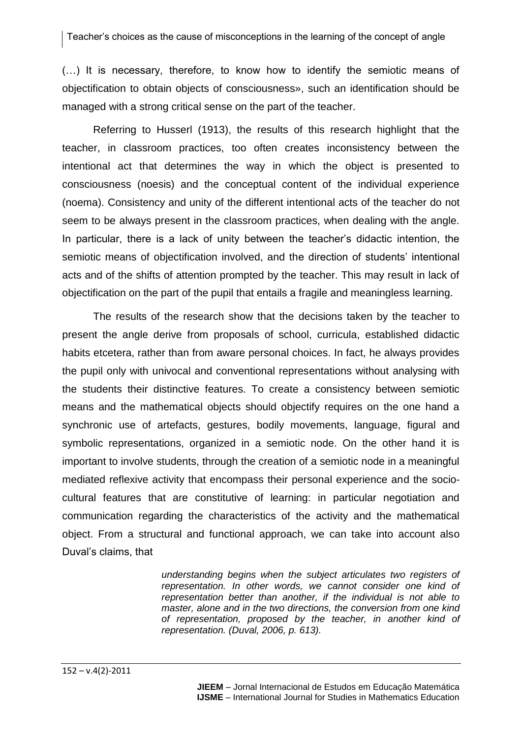Teacher's choices as the cause of misconceptions in the learning of the concept of angle

(…) It is necessary, therefore, to know how to identify the semiotic means of objectification to obtain objects of consciousness», such an identification should be managed with a strong critical sense on the part of the teacher.

Referring to Husserl (1913), the results of this research highlight that the teacher, in classroom practices, too often creates inconsistency between the intentional act that determines the way in which the object is presented to consciousness (noesis) and the conceptual content of the individual experience (noema). Consistency and unity of the different intentional acts of the teacher do not seem to be always present in the classroom practices, when dealing with the angle. In particular, there is a lack of unity between the teacher's didactic intention, the semiotic means of objectification involved, and the direction of students' intentional acts and of the shifts of attention prompted by the teacher. This may result in lack of objectification on the part of the pupil that entails a fragile and meaningless learning.

The results of the research show that the decisions taken by the teacher to present the angle derive from proposals of school, curricula, established didactic habits etcetera, rather than from aware personal choices. In fact, he always provides the pupil only with univocal and conventional representations without analysing with the students their distinctive features. To create a consistency between semiotic means and the mathematical objects should objectify requires on the one hand a synchronic use of artefacts, gestures, bodily movements, language, figural and symbolic representations, organized in a semiotic node. On the other hand it is important to involve students, through the creation of a semiotic node in a meaningful mediated reflexive activity that encompass their personal experience and the sociocultural features that are constitutive of learning: in particular negotiation and communication regarding the characteristics of the activity and the mathematical object. From a structural and functional approach, we can take into account also Duval's claims, that

> *understanding begins when the subject articulates two registers of representation. In other words, we cannot consider one kind of representation better than another, if the individual is not able to master, alone and in the two directions, the conversion from one kind of representation, proposed by the teacher, in another kind of representation. (Duval, 2006, p. 613).*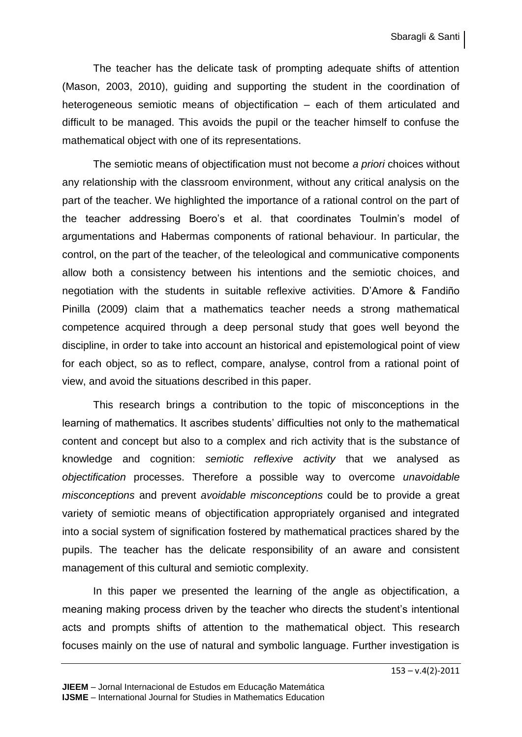The teacher has the delicate task of prompting adequate shifts of attention (Mason, 2003, 2010), guiding and supporting the student in the coordination of heterogeneous semiotic means of objectification – each of them articulated and difficult to be managed. This avoids the pupil or the teacher himself to confuse the mathematical object with one of its representations.

The semiotic means of objectification must not become *a priori* choices without any relationship with the classroom environment, without any critical analysis on the part of the teacher. We highlighted the importance of a rational control on the part of the teacher addressing Boero's et al. that coordinates Toulmin's model of argumentations and Habermas components of rational behaviour. In particular, the control, on the part of the teacher, of the teleological and communicative components allow both a consistency between his intentions and the semiotic choices, and negotiation with the students in suitable reflexive activities. D'Amore & Fandiño Pinilla (2009) claim that a mathematics teacher needs a strong mathematical competence acquired through a deep personal study that goes well beyond the discipline, in order to take into account an historical and epistemological point of view for each object, so as to reflect, compare, analyse, control from a rational point of view, and avoid the situations described in this paper.

This research brings a contribution to the topic of misconceptions in the learning of mathematics. It ascribes students' difficulties not only to the mathematical content and concept but also to a complex and rich activity that is the substance of knowledge and cognition: *semiotic reflexive activity* that we analysed as *objectification* processes. Therefore a possible way to overcome *unavoidable misconceptions* and prevent *avoidable misconceptions* could be to provide a great variety of semiotic means of objectification appropriately organised and integrated into a social system of signification fostered by mathematical practices shared by the pupils. The teacher has the delicate responsibility of an aware and consistent management of this cultural and semiotic complexity.

In this paper we presented the learning of the angle as objectification, a meaning making process driven by the teacher who directs the student's intentional acts and prompts shifts of attention to the mathematical object. This research focuses mainly on the use of natural and symbolic language. Further investigation is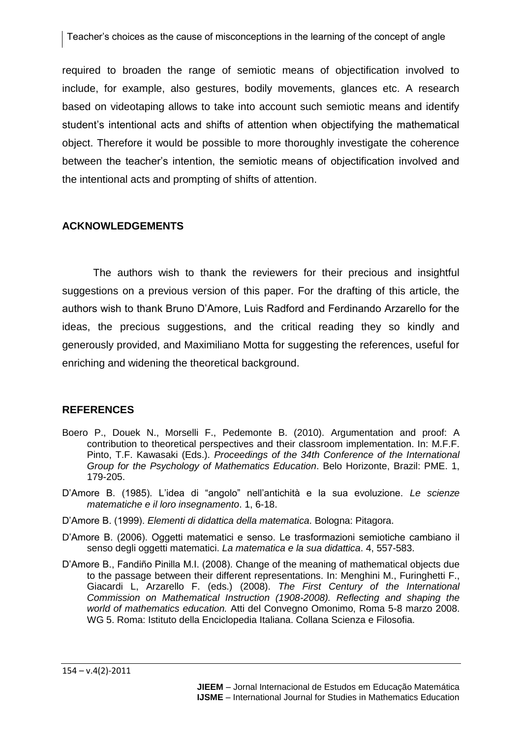required to broaden the range of semiotic means of objectification involved to include, for example, also gestures, bodily movements, glances etc. A research based on videotaping allows to take into account such semiotic means and identify student's intentional acts and shifts of attention when objectifying the mathematical object. Therefore it would be possible to more thoroughly investigate the coherence between the teacher's intention, the semiotic means of objectification involved and the intentional acts and prompting of shifts of attention.

# **ACKNOWLEDGEMENTS**

The authors wish to thank the reviewers for their precious and insightful suggestions on a previous version of this paper. For the drafting of this article, the authors wish to thank Bruno D'Amore, Luis Radford and Ferdinando Arzarello for the ideas, the precious suggestions, and the critical reading they so kindly and generously provided, and Maximiliano Motta for suggesting the references, useful for enriching and widening the theoretical background.

# **REFERENCES**

- Boero P., Douek N., Morselli F., Pedemonte B. (2010). Argumentation and proof: A contribution to theoretical perspectives and their classroom implementation. In: M.F.F. Pinto, T.F. Kawasaki (Eds.). *Proceedings of the 34th Conference of the International Group for the Psychology of Mathematics Education*. Belo Horizonte, Brazil: PME. 1, 179-205.
- D'Amore B. (1985). L'idea di "angolo" nell'antichità e la sua evoluzione. *Le scienze matematiche e il loro insegnamento*. 1, 6-18.
- D'Amore B. (1999). *Elementi di didattica della matematica*. Bologna: Pitagora.
- D'Amore B. (2006). Oggetti matematici e senso. Le trasformazioni semiotiche cambiano il senso degli oggetti matematici. *La matematica e la sua didattica*. 4, 557-583.
- D'Amore B., Fandiño Pinilla M.I. (2008). Change of the meaning of mathematical objects due to the passage between their different representations. In: Menghini M., Furinghetti F., Giacardi L, Arzarello F. (eds.) (2008). *The First Century of the International Commission on Mathematical Instruction (1908-2008). Reflecting and shaping the world of mathematics education.* Atti del Convegno Omonimo, Roma 5-8 marzo 2008. WG 5. Roma: Istituto della Enciclopedia Italiana. Collana Scienza e Filosofia.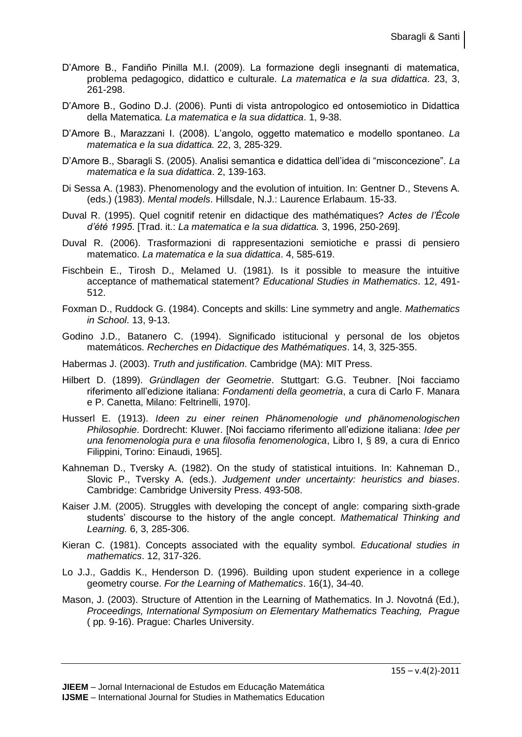- D'Amore B., Fandiño Pinilla M.I. (2009). La formazione degli insegnanti di matematica, problema pedagogico, didattico e culturale. *La matematica e la sua didattica*. 23, 3, 261-298.
- D'Amore B., Godino D.J. (2006). Punti di vista antropologico ed ontosemiotico in Didattica della Matematica. *La matematica e la sua didattica*. 1, 9-38.
- D'Amore B., Marazzani I. (2008). L'angolo, oggetto matematico e modello spontaneo. *La matematica e la sua didattica.* 22, 3, 285-329.
- D'Amore B., Sbaragli S. (2005). Analisi semantica e didattica dell'idea di "misconcezione". *La matematica e la sua didattica*. 2, 139-163.
- Di Sessa A. (1983). Phenomenology and the evolution of intuition. In: Gentner D., Stevens A. (eds.) (1983). *Mental models*. Hillsdale, N.J.: Laurence Erlabaum. 15-33.
- Duval R. (1995). Quel cognitif retenir en didactique des mathématiques? *Actes de l'École d'été 1995*. [Trad. it.: *La matematica e la sua didattica.* 3, 1996, 250-269].
- Duval R. (2006). Trasformazioni di rappresentazioni semiotiche e prassi di pensiero matematico. *La matematica e la sua didattica*. 4, 585-619.
- Fischbein E., Tirosh D., Melamed U. (1981). Is it possible to measure the intuitive acceptance of mathematical statement? *Educational Studies in Mathematics*. 12, 491- 512.
- Foxman D., Ruddock G. (1984). Concepts and skills: Line symmetry and angle. *Mathematics in School*. 13, 9-13.
- Godino J.D., Batanero C. (1994). Significado istitucional y personal de los objetos matemáticos. *Recherches en Didactique des Mathématiques*. 14, 3, 325-355.
- Habermas J. (2003). *Truth and justification*. Cambridge (MA): MIT Press.
- Hilbert D. (1899). *Gründlagen der Geometrie*. Stuttgart: G.G. Teubner. [Noi facciamo riferimento all'edizione italiana: *Fondamenti della geometria*, a cura di Carlo F. Manara e P. Canetta, Milano: Feltrinelli, 1970].
- Husserl E. (1913). *Ideen zu einer reinen Phänomenologie und phänomenologischen Philosophie*. Dordrecht: Kluwer. [Noi facciamo riferimento all'edizione italiana: *Idee per una fenomenologia pura e una filosofia fenomenologica*, Libro I, § 89, a cura di Enrico Filippini, Torino: Einaudi, 1965].
- Kahneman D., Tversky A. (1982). On the study of statistical intuitions. In: Kahneman D., Slovic P., Tversky A. (eds.). *Judgement under uncertainty: heuristics and biases*. Cambridge: Cambridge University Press. 493-508.
- Kaiser J.M. (2005). Struggles with developing the concept of angle: comparing sixth-grade students' discourse to the history of the angle concept. *Mathematical Thinking and Learning.* 6, 3, 285-306.
- Kieran C. (1981). Concepts associated with the equality symbol. *Educational studies in mathematics*. 12, 317-326.
- Lo J.J., Gaddis K., Henderson D. (1996). Building upon student experience in a college geometry course. *For the Learning of Mathematics*. 16(1), 34-40.
- Mason, J. (2003). Structure of Attention in the Learning of Mathematics. In J. Novotná (Ed.), *Proceedings, International Symposium on Elementary Mathematics Teaching, Prague* ( pp. 9-16). Prague: Charles University.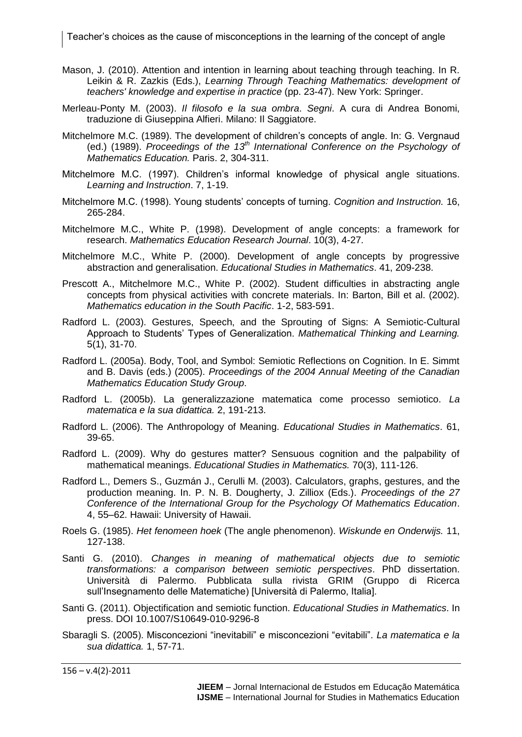Teacher's choices as the cause of misconceptions in the learning of the concept of angle

- Mason, J. (2010). Attention and intention in learning about teaching through teaching. In R. Leikin & R. Zazkis (Eds.), *Learning Through Teaching Mathematics: development of teachers' knowledge and expertise in practice* (pp. 23-47). New York: Springer.
- Merleau-Ponty M. (2003). *Il filosofo e la sua ombra*. *Segni*. A cura di Andrea Bonomi, traduzione di Giuseppina Alfieri. Milano: Il Saggiatore.
- Mitchelmore M.C. (1989). The development of children's concepts of angle. In: G. Vergnaud (ed.) (1989). *Proceedings of the 13th International Conference on the Psychology of Mathematics Education.* Paris. 2, 304-311.
- Mitchelmore M.C. (1997). Children's informal knowledge of physical angle situations. *Learning and Instruction*. 7, 1-19.
- Mitchelmore M.C. (1998). Young students' concepts of turning. *Cognition and Instruction.* 16, 265-284.
- Mitchelmore M.C., White P. (1998). Development of angle concepts: a framework for research. *Mathematics Education Research Journal*. 10(3), 4-27.
- Mitchelmore M.C., White P. (2000). Development of angle concepts by progressive abstraction and generalisation. *Educational Studies in Mathematics*. 41, 209-238.
- Prescott A., Mitchelmore M.C., White P. (2002). Student difficulties in abstracting angle concepts from physical activities with concrete materials. In: Barton, Bill et al. (2002). *Mathematics education in the South Pacific*. 1-2, 583-591.
- Radford L. (2003). Gestures, Speech, and the Sprouting of Signs: A Semiotic-Cultural Approach to Students' Types of Generalization. *Mathematical Thinking and Learning.*  5(1), 31-70.
- Radford L. (2005a). Body, Tool, and Symbol: Semiotic Reflections on Cognition. In E. Simmt and B. Davis (eds.) (2005). *Proceedings of the 2004 Annual Meeting of the Canadian Mathematics Education Study Group*.
- Radford L. (2005b). La generalizzazione matematica come processo semiotico. *La matematica e la sua didattica.* 2, 191-213.
- Radford L. (2006). The Anthropology of Meaning. *Educational Studies in Mathematics*. 61, 39-65.
- Radford L. (2009). Why do gestures matter? Sensuous cognition and the palpability of mathematical meanings. *Educational Studies in Mathematics.* 70(3), 111-126.
- Radford L., Demers S., Guzmán J., Cerulli M. (2003). Calculators, graphs, gestures, and the production meaning. In. P. N. B. Dougherty, J. Zilliox (Eds.). *Proceedings of the 27 Conference of the International Group for the Psychology Of Mathematics Education*. 4, 55–62. Hawaii: University of Hawaii.
- Roels G. (1985). *Het fenomeen hoek* (The angle phenomenon). *Wiskunde en Onderwijs.* 11, 127-138.
- Santi G. (2010). *Changes in meaning of mathematical objects due to semiotic transformations: a comparison between semiotic perspectives*. PhD dissertation. Università di Palermo. Pubblicata sulla rivista GRIM (Gruppo di Ricerca sull'Insegnamento delle Matematiche) [Università di Palermo, Italia].
- Santi G. (2011). Objectification and semiotic function. *Educational Studies in Mathematics*. In press. DOI 10.1007/S10649-010-9296-8
- Sbaragli S. (2005). Misconcezioni "inevitabili" e misconcezioni "evitabili". *La matematica e la sua didattica.* 1, 57-71.